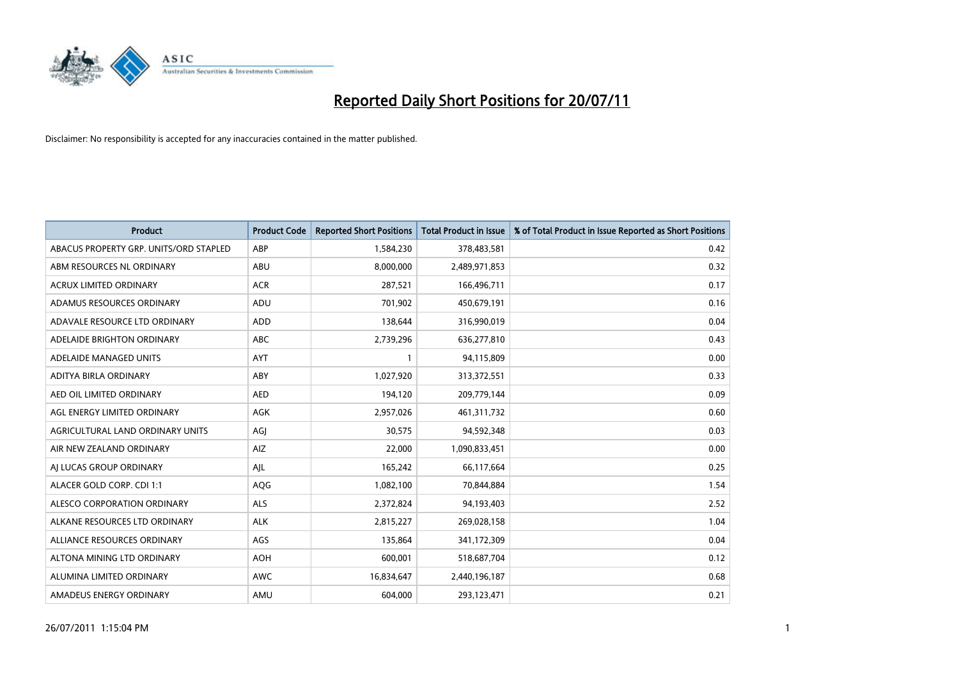

| <b>Product</b>                         | <b>Product Code</b> | <b>Reported Short Positions</b> | <b>Total Product in Issue</b> | % of Total Product in Issue Reported as Short Positions |
|----------------------------------------|---------------------|---------------------------------|-------------------------------|---------------------------------------------------------|
| ABACUS PROPERTY GRP. UNITS/ORD STAPLED | ABP                 | 1,584,230                       | 378,483,581                   | 0.42                                                    |
| ABM RESOURCES NL ORDINARY              | ABU                 | 8,000,000                       | 2,489,971,853                 | 0.32                                                    |
| <b>ACRUX LIMITED ORDINARY</b>          | <b>ACR</b>          | 287,521                         | 166,496,711                   | 0.17                                                    |
| ADAMUS RESOURCES ORDINARY              | ADU                 | 701,902                         | 450,679,191                   | 0.16                                                    |
| ADAVALE RESOURCE LTD ORDINARY          | <b>ADD</b>          | 138,644                         | 316,990,019                   | 0.04                                                    |
| ADELAIDE BRIGHTON ORDINARY             | <b>ABC</b>          | 2,739,296                       | 636,277,810                   | 0.43                                                    |
| ADELAIDE MANAGED UNITS                 | <b>AYT</b>          |                                 | 94,115,809                    | 0.00                                                    |
| ADITYA BIRLA ORDINARY                  | ABY                 | 1,027,920                       | 313,372,551                   | 0.33                                                    |
| AED OIL LIMITED ORDINARY               | <b>AED</b>          | 194,120                         | 209,779,144                   | 0.09                                                    |
| AGL ENERGY LIMITED ORDINARY            | <b>AGK</b>          | 2,957,026                       | 461, 311, 732                 | 0.60                                                    |
| AGRICULTURAL LAND ORDINARY UNITS       | AGI                 | 30,575                          | 94,592,348                    | 0.03                                                    |
| AIR NEW ZEALAND ORDINARY               | AIZ                 | 22,000                          | 1,090,833,451                 | 0.00                                                    |
| AI LUCAS GROUP ORDINARY                | AJL                 | 165,242                         | 66,117,664                    | 0.25                                                    |
| ALACER GOLD CORP. CDI 1:1              | AQG                 | 1,082,100                       | 70,844,884                    | 1.54                                                    |
| ALESCO CORPORATION ORDINARY            | <b>ALS</b>          | 2,372,824                       | 94,193,403                    | 2.52                                                    |
| ALKANE RESOURCES LTD ORDINARY          | <b>ALK</b>          | 2,815,227                       | 269,028,158                   | 1.04                                                    |
| ALLIANCE RESOURCES ORDINARY            | AGS                 | 135,864                         | 341,172,309                   | 0.04                                                    |
| ALTONA MINING LTD ORDINARY             | <b>AOH</b>          | 600,001                         | 518,687,704                   | 0.12                                                    |
| ALUMINA LIMITED ORDINARY               | <b>AWC</b>          | 16,834,647                      | 2,440,196,187                 | 0.68                                                    |
| AMADEUS ENERGY ORDINARY                | AMU                 | 604,000                         | 293,123,471                   | 0.21                                                    |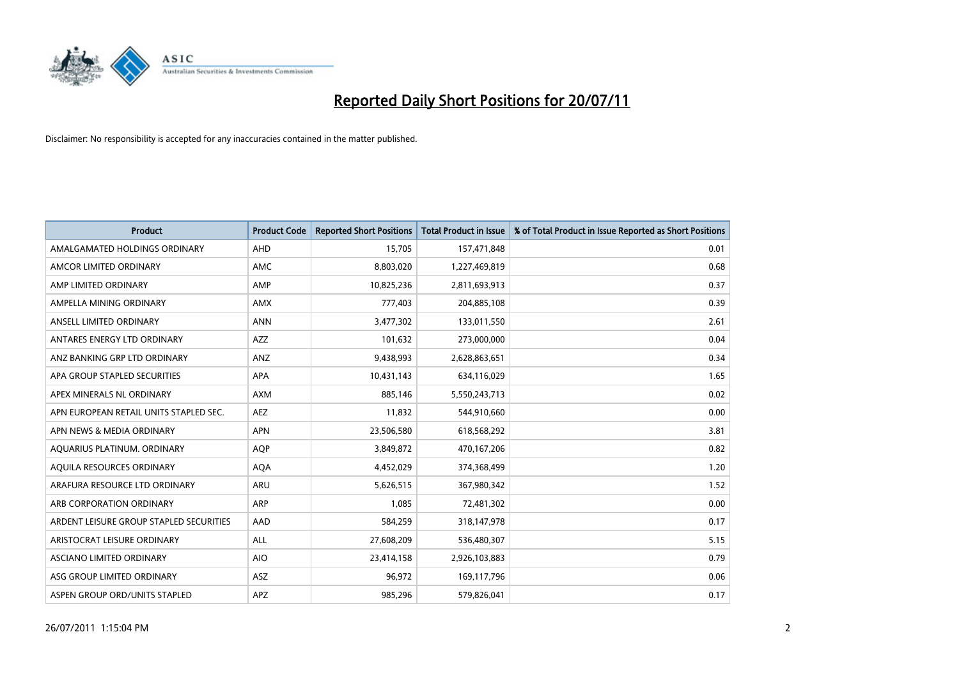

| <b>Product</b>                          | <b>Product Code</b> | <b>Reported Short Positions</b> | <b>Total Product in Issue</b> | % of Total Product in Issue Reported as Short Positions |
|-----------------------------------------|---------------------|---------------------------------|-------------------------------|---------------------------------------------------------|
| AMALGAMATED HOLDINGS ORDINARY           | AHD                 | 15,705                          | 157,471,848                   | 0.01                                                    |
| AMCOR LIMITED ORDINARY                  | <b>AMC</b>          | 8,803,020                       | 1,227,469,819                 | 0.68                                                    |
| AMP LIMITED ORDINARY                    | AMP                 | 10,825,236                      | 2,811,693,913                 | 0.37                                                    |
| AMPELLA MINING ORDINARY                 | <b>AMX</b>          | 777,403                         | 204,885,108                   | 0.39                                                    |
| ANSELL LIMITED ORDINARY                 | <b>ANN</b>          | 3,477,302                       | 133,011,550                   | 2.61                                                    |
| ANTARES ENERGY LTD ORDINARY             | <b>AZZ</b>          | 101,632                         | 273,000,000                   | 0.04                                                    |
| ANZ BANKING GRP LTD ORDINARY            | ANZ                 | 9,438,993                       | 2,628,863,651                 | 0.34                                                    |
| APA GROUP STAPLED SECURITIES            | <b>APA</b>          | 10,431,143                      | 634,116,029                   | 1.65                                                    |
| APEX MINERALS NL ORDINARY               | <b>AXM</b>          | 885,146                         | 5,550,243,713                 | 0.02                                                    |
| APN EUROPEAN RETAIL UNITS STAPLED SEC.  | <b>AEZ</b>          | 11,832                          | 544,910,660                   | 0.00                                                    |
| APN NEWS & MEDIA ORDINARY               | <b>APN</b>          | 23,506,580                      | 618,568,292                   | 3.81                                                    |
| AQUARIUS PLATINUM. ORDINARY             | <b>AOP</b>          | 3,849,872                       | 470,167,206                   | 0.82                                                    |
| AQUILA RESOURCES ORDINARY               | <b>AQA</b>          | 4,452,029                       | 374,368,499                   | 1.20                                                    |
| ARAFURA RESOURCE LTD ORDINARY           | <b>ARU</b>          | 5,626,515                       | 367,980,342                   | 1.52                                                    |
| ARB CORPORATION ORDINARY                | ARP                 | 1,085                           | 72,481,302                    | 0.00                                                    |
| ARDENT LEISURE GROUP STAPLED SECURITIES | AAD                 | 584,259                         | 318,147,978                   | 0.17                                                    |
| ARISTOCRAT LEISURE ORDINARY             | <b>ALL</b>          | 27,608,209                      | 536,480,307                   | 5.15                                                    |
| ASCIANO LIMITED ORDINARY                | <b>AIO</b>          | 23,414,158                      | 2,926,103,883                 | 0.79                                                    |
| ASG GROUP LIMITED ORDINARY              | <b>ASZ</b>          | 96,972                          | 169,117,796                   | 0.06                                                    |
| ASPEN GROUP ORD/UNITS STAPLED           | <b>APZ</b>          | 985.296                         | 579,826,041                   | 0.17                                                    |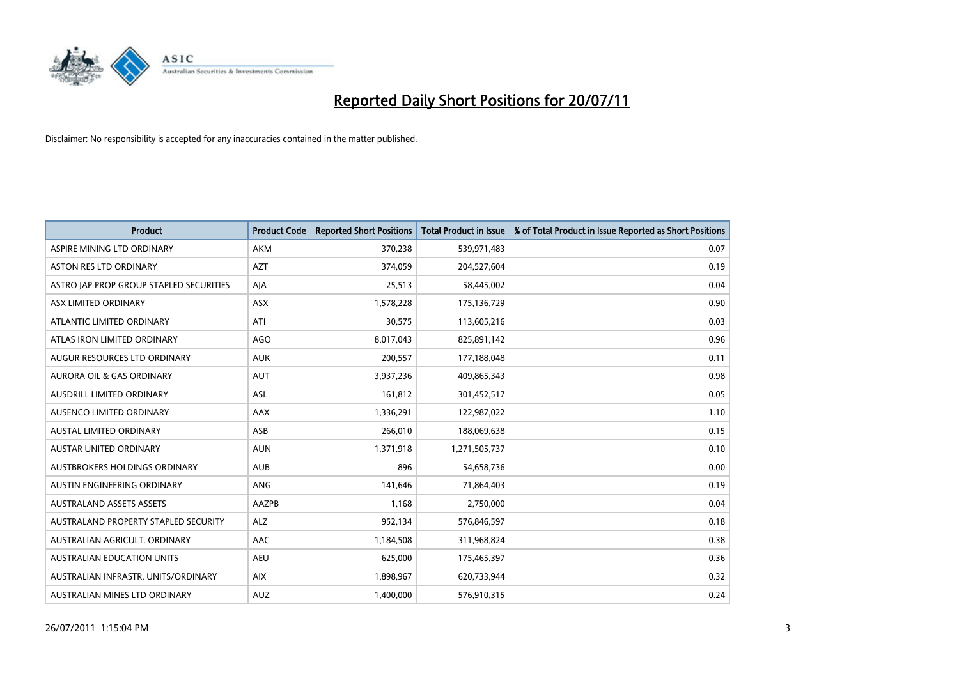

| <b>Product</b>                          | <b>Product Code</b> | <b>Reported Short Positions</b> | Total Product in Issue | % of Total Product in Issue Reported as Short Positions |
|-----------------------------------------|---------------------|---------------------------------|------------------------|---------------------------------------------------------|
| ASPIRE MINING LTD ORDINARY              | <b>AKM</b>          | 370,238                         | 539,971,483            | 0.07                                                    |
| <b>ASTON RES LTD ORDINARY</b>           | <b>AZT</b>          | 374,059                         | 204,527,604            | 0.19                                                    |
| ASTRO JAP PROP GROUP STAPLED SECURITIES | AJA                 | 25,513                          | 58,445,002             | 0.04                                                    |
| ASX LIMITED ORDINARY                    | <b>ASX</b>          | 1,578,228                       | 175,136,729            | 0.90                                                    |
| ATLANTIC LIMITED ORDINARY               | ATI                 | 30,575                          | 113,605,216            | 0.03                                                    |
| ATLAS IRON LIMITED ORDINARY             | <b>AGO</b>          | 8,017,043                       | 825,891,142            | 0.96                                                    |
| AUGUR RESOURCES LTD ORDINARY            | <b>AUK</b>          | 200,557                         | 177,188,048            | 0.11                                                    |
| <b>AURORA OIL &amp; GAS ORDINARY</b>    | <b>AUT</b>          | 3,937,236                       | 409,865,343            | 0.98                                                    |
| AUSDRILL LIMITED ORDINARY               | <b>ASL</b>          | 161,812                         | 301,452,517            | 0.05                                                    |
| AUSENCO LIMITED ORDINARY                | <b>AAX</b>          | 1,336,291                       | 122,987,022            | 1.10                                                    |
| AUSTAL LIMITED ORDINARY                 | ASB                 | 266,010                         | 188,069,638            | 0.15                                                    |
| <b>AUSTAR UNITED ORDINARY</b>           | <b>AUN</b>          | 1,371,918                       | 1,271,505,737          | 0.10                                                    |
| AUSTBROKERS HOLDINGS ORDINARY           | <b>AUB</b>          | 896                             | 54,658,736             | 0.00                                                    |
| AUSTIN ENGINEERING ORDINARY             | ANG                 | 141.646                         | 71,864,403             | 0.19                                                    |
| <b>AUSTRALAND ASSETS ASSETS</b>         | AAZPB               | 1,168                           | 2,750,000              | 0.04                                                    |
| AUSTRALAND PROPERTY STAPLED SECURITY    | <b>ALZ</b>          | 952,134                         | 576,846,597            | 0.18                                                    |
| AUSTRALIAN AGRICULT, ORDINARY           | <b>AAC</b>          | 1,184,508                       | 311,968,824            | 0.38                                                    |
| AUSTRALIAN EDUCATION UNITS              | <b>AEU</b>          | 625,000                         | 175,465,397            | 0.36                                                    |
| AUSTRALIAN INFRASTR, UNITS/ORDINARY     | <b>AIX</b>          | 1,898,967                       | 620,733,944            | 0.32                                                    |
| AUSTRALIAN MINES LTD ORDINARY           | <b>AUZ</b>          | 1.400.000                       | 576,910,315            | 0.24                                                    |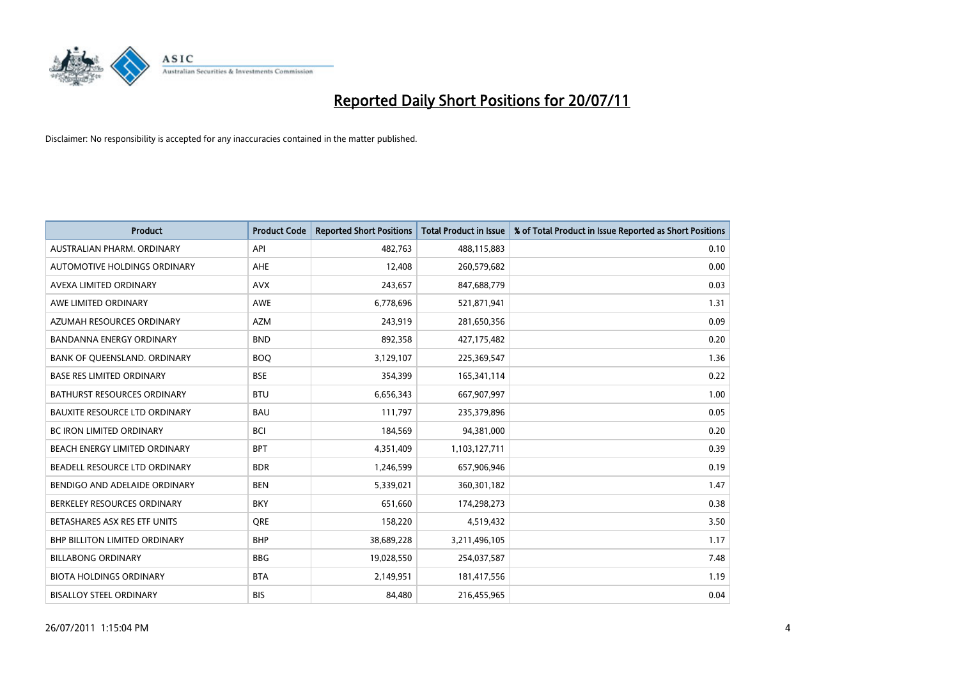

| <b>Product</b>                       | <b>Product Code</b> | <b>Reported Short Positions</b> | <b>Total Product in Issue</b> | % of Total Product in Issue Reported as Short Positions |
|--------------------------------------|---------------------|---------------------------------|-------------------------------|---------------------------------------------------------|
| AUSTRALIAN PHARM, ORDINARY           | API                 | 482.763                         | 488,115,883                   | 0.10                                                    |
| AUTOMOTIVE HOLDINGS ORDINARY         | <b>AHE</b>          | 12,408                          | 260,579,682                   | 0.00                                                    |
| AVEXA LIMITED ORDINARY               | <b>AVX</b>          | 243,657                         | 847,688,779                   | 0.03                                                    |
| AWE LIMITED ORDINARY                 | <b>AWE</b>          | 6,778,696                       | 521,871,941                   | 1.31                                                    |
| AZUMAH RESOURCES ORDINARY            | <b>AZM</b>          | 243,919                         | 281,650,356                   | 0.09                                                    |
| BANDANNA ENERGY ORDINARY             | <b>BND</b>          | 892,358                         | 427,175,482                   | 0.20                                                    |
| BANK OF QUEENSLAND. ORDINARY         | <b>BOO</b>          | 3,129,107                       | 225,369,547                   | 1.36                                                    |
| <b>BASE RES LIMITED ORDINARY</b>     | <b>BSE</b>          | 354,399                         | 165,341,114                   | 0.22                                                    |
| <b>BATHURST RESOURCES ORDINARY</b>   | <b>BTU</b>          | 6,656,343                       | 667,907,997                   | 1.00                                                    |
| <b>BAUXITE RESOURCE LTD ORDINARY</b> | <b>BAU</b>          | 111,797                         | 235,379,896                   | 0.05                                                    |
| <b>BC IRON LIMITED ORDINARY</b>      | <b>BCI</b>          | 184,569                         | 94,381,000                    | 0.20                                                    |
| <b>BEACH ENERGY LIMITED ORDINARY</b> | <b>BPT</b>          | 4,351,409                       | 1,103,127,711                 | 0.39                                                    |
| BEADELL RESOURCE LTD ORDINARY        | <b>BDR</b>          | 1,246,599                       | 657,906,946                   | 0.19                                                    |
| BENDIGO AND ADELAIDE ORDINARY        | <b>BEN</b>          | 5,339,021                       | 360,301,182                   | 1.47                                                    |
| BERKELEY RESOURCES ORDINARY          | <b>BKY</b>          | 651,660                         | 174,298,273                   | 0.38                                                    |
| BETASHARES ASX RES ETF UNITS         | <b>ORE</b>          | 158,220                         | 4,519,432                     | 3.50                                                    |
| BHP BILLITON LIMITED ORDINARY        | <b>BHP</b>          | 38,689,228                      | 3,211,496,105                 | 1.17                                                    |
| <b>BILLABONG ORDINARY</b>            | <b>BBG</b>          | 19,028,550                      | 254,037,587                   | 7.48                                                    |
| <b>BIOTA HOLDINGS ORDINARY</b>       | <b>BTA</b>          | 2,149,951                       | 181,417,556                   | 1.19                                                    |
| <b>BISALLOY STEEL ORDINARY</b>       | <b>BIS</b>          | 84.480                          | 216,455,965                   | 0.04                                                    |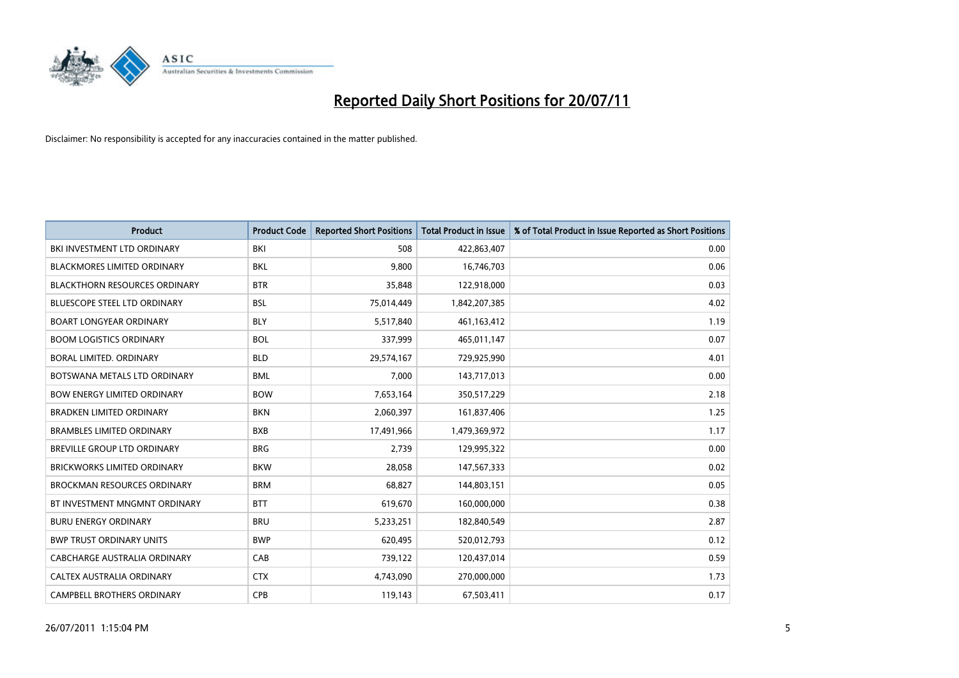

| <b>Product</b>                       | <b>Product Code</b> | <b>Reported Short Positions</b> | <b>Total Product in Issue</b> | % of Total Product in Issue Reported as Short Positions |
|--------------------------------------|---------------------|---------------------------------|-------------------------------|---------------------------------------------------------|
| BKI INVESTMENT LTD ORDINARY          | <b>BKI</b>          | 508                             | 422,863,407                   | 0.00                                                    |
| <b>BLACKMORES LIMITED ORDINARY</b>   | <b>BKL</b>          | 9,800                           | 16,746,703                    | 0.06                                                    |
| <b>BLACKTHORN RESOURCES ORDINARY</b> | <b>BTR</b>          | 35.848                          | 122,918,000                   | 0.03                                                    |
| <b>BLUESCOPE STEEL LTD ORDINARY</b>  | <b>BSL</b>          | 75,014,449                      | 1,842,207,385                 | 4.02                                                    |
| <b>BOART LONGYEAR ORDINARY</b>       | <b>BLY</b>          | 5,517,840                       | 461,163,412                   | 1.19                                                    |
| <b>BOOM LOGISTICS ORDINARY</b>       | <b>BOL</b>          | 337,999                         | 465,011,147                   | 0.07                                                    |
| BORAL LIMITED. ORDINARY              | <b>BLD</b>          | 29,574,167                      | 729,925,990                   | 4.01                                                    |
| BOTSWANA METALS LTD ORDINARY         | <b>BML</b>          | 7,000                           | 143,717,013                   | 0.00                                                    |
| <b>BOW ENERGY LIMITED ORDINARY</b>   | <b>BOW</b>          | 7,653,164                       | 350,517,229                   | 2.18                                                    |
| <b>BRADKEN LIMITED ORDINARY</b>      | <b>BKN</b>          | 2,060,397                       | 161,837,406                   | 1.25                                                    |
| <b>BRAMBLES LIMITED ORDINARY</b>     | <b>BXB</b>          | 17,491,966                      | 1,479,369,972                 | 1.17                                                    |
| <b>BREVILLE GROUP LTD ORDINARY</b>   | <b>BRG</b>          | 2,739                           | 129,995,322                   | 0.00                                                    |
| BRICKWORKS LIMITED ORDINARY          | <b>BKW</b>          | 28,058                          | 147,567,333                   | 0.02                                                    |
| <b>BROCKMAN RESOURCES ORDINARY</b>   | <b>BRM</b>          | 68,827                          | 144,803,151                   | 0.05                                                    |
| BT INVESTMENT MNGMNT ORDINARY        | <b>BTT</b>          | 619,670                         | 160,000,000                   | 0.38                                                    |
| <b>BURU ENERGY ORDINARY</b>          | <b>BRU</b>          | 5,233,251                       | 182,840,549                   | 2.87                                                    |
| <b>BWP TRUST ORDINARY UNITS</b>      | <b>BWP</b>          | 620,495                         | 520,012,793                   | 0.12                                                    |
| CABCHARGE AUSTRALIA ORDINARY         | CAB                 | 739,122                         | 120,437,014                   | 0.59                                                    |
| CALTEX AUSTRALIA ORDINARY            | <b>CTX</b>          | 4,743,090                       | 270,000,000                   | 1.73                                                    |
| CAMPBELL BROTHERS ORDINARY           | <b>CPB</b>          | 119,143                         | 67,503,411                    | 0.17                                                    |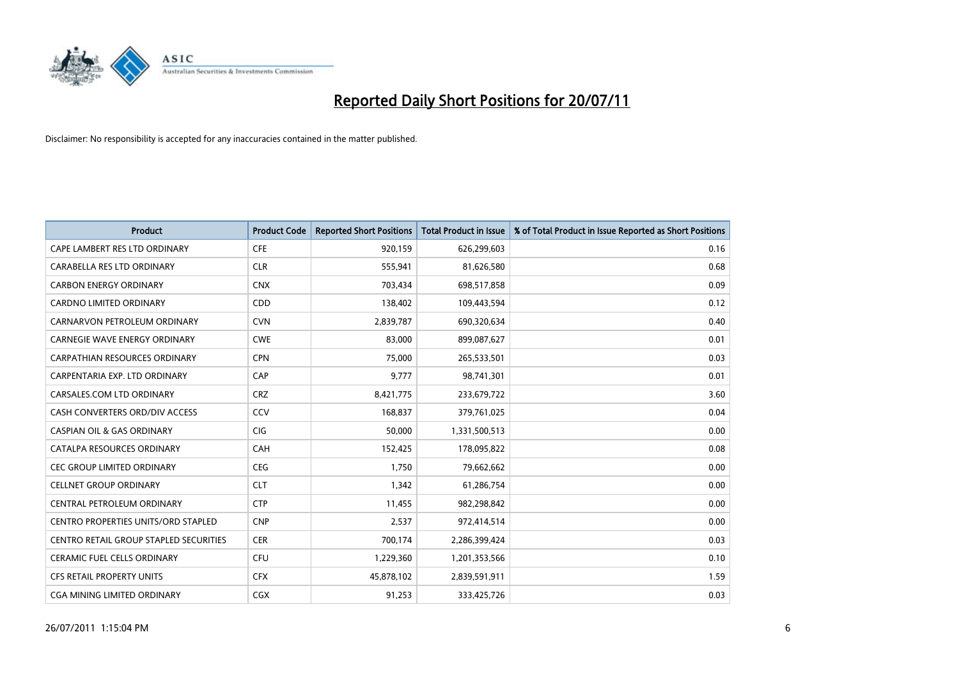

| <b>Product</b>                                | <b>Product Code</b> | <b>Reported Short Positions</b> | Total Product in Issue | % of Total Product in Issue Reported as Short Positions |
|-----------------------------------------------|---------------------|---------------------------------|------------------------|---------------------------------------------------------|
| CAPE LAMBERT RES LTD ORDINARY                 | <b>CFE</b>          | 920,159                         | 626,299,603            | 0.16                                                    |
| CARABELLA RES LTD ORDINARY                    | <b>CLR</b>          | 555,941                         | 81,626,580             | 0.68                                                    |
| <b>CARBON ENERGY ORDINARY</b>                 | <b>CNX</b>          | 703,434                         | 698,517,858            | 0.09                                                    |
| CARDNO LIMITED ORDINARY                       | CDD                 | 138,402                         | 109,443,594            | 0.12                                                    |
| CARNARVON PETROLEUM ORDINARY                  | <b>CVN</b>          | 2,839,787                       | 690,320,634            | 0.40                                                    |
| <b>CARNEGIE WAVE ENERGY ORDINARY</b>          | <b>CWE</b>          | 83,000                          | 899,087,627            | 0.01                                                    |
| <b>CARPATHIAN RESOURCES ORDINARY</b>          | <b>CPN</b>          | 75.000                          | 265,533,501            | 0.03                                                    |
| CARPENTARIA EXP. LTD ORDINARY                 | CAP                 | 9,777                           | 98,741,301             | 0.01                                                    |
| CARSALES.COM LTD ORDINARY                     | <b>CRZ</b>          | 8,421,775                       | 233,679,722            | 3.60                                                    |
| CASH CONVERTERS ORD/DIV ACCESS                | CCV                 | 168,837                         | 379,761,025            | 0.04                                                    |
| <b>CASPIAN OIL &amp; GAS ORDINARY</b>         | <b>CIG</b>          | 50,000                          | 1,331,500,513          | 0.00                                                    |
| CATALPA RESOURCES ORDINARY                    | CAH                 | 152,425                         | 178,095,822            | 0.08                                                    |
| <b>CEC GROUP LIMITED ORDINARY</b>             | <b>CEG</b>          | 1,750                           | 79,662,662             | 0.00                                                    |
| <b>CELLNET GROUP ORDINARY</b>                 | <b>CLT</b>          | 1,342                           | 61,286,754             | 0.00                                                    |
| CENTRAL PETROLEUM ORDINARY                    | <b>CTP</b>          | 11,455                          | 982,298,842            | 0.00                                                    |
| CENTRO PROPERTIES UNITS/ORD STAPLED           | <b>CNP</b>          | 2,537                           | 972,414,514            | 0.00                                                    |
| <b>CENTRO RETAIL GROUP STAPLED SECURITIES</b> | <b>CER</b>          | 700,174                         | 2,286,399,424          | 0.03                                                    |
| CERAMIC FUEL CELLS ORDINARY                   | CFU                 | 1,229,360                       | 1,201,353,566          | 0.10                                                    |
| <b>CFS RETAIL PROPERTY UNITS</b>              | <b>CFX</b>          | 45,878,102                      | 2,839,591,911          | 1.59                                                    |
| CGA MINING LIMITED ORDINARY                   | <b>CGX</b>          | 91,253                          | 333,425,726            | 0.03                                                    |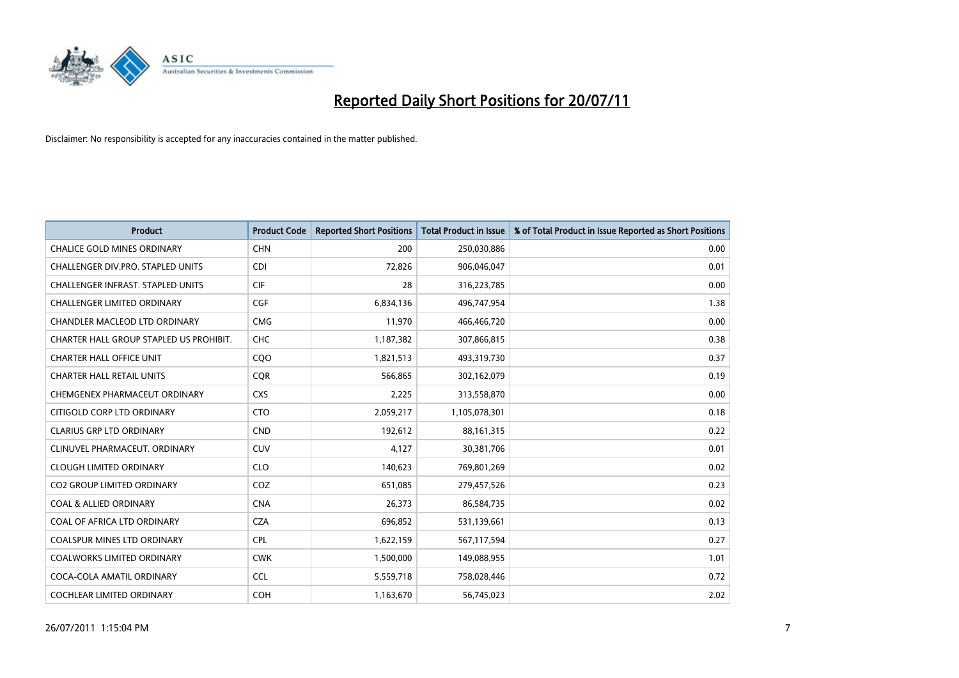

| <b>Product</b>                           | <b>Product Code</b> | <b>Reported Short Positions</b> | <b>Total Product in Issue</b> | % of Total Product in Issue Reported as Short Positions |
|------------------------------------------|---------------------|---------------------------------|-------------------------------|---------------------------------------------------------|
| <b>CHALICE GOLD MINES ORDINARY</b>       | <b>CHN</b>          | 200                             | 250,030,886                   | 0.00                                                    |
| <b>CHALLENGER DIV.PRO. STAPLED UNITS</b> | <b>CDI</b>          | 72,826                          | 906,046,047                   | 0.01                                                    |
| <b>CHALLENGER INFRAST, STAPLED UNITS</b> | <b>CIF</b>          | 28                              | 316,223,785                   | 0.00                                                    |
| CHALLENGER LIMITED ORDINARY              | <b>CGF</b>          | 6,834,136                       | 496,747,954                   | 1.38                                                    |
| <b>CHANDLER MACLEOD LTD ORDINARY</b>     | <b>CMG</b>          | 11,970                          | 466,466,720                   | 0.00                                                    |
| CHARTER HALL GROUP STAPLED US PROHIBIT.  | <b>CHC</b>          | 1,187,382                       | 307,866,815                   | 0.38                                                    |
| <b>CHARTER HALL OFFICE UNIT</b>          | COO                 | 1,821,513                       | 493,319,730                   | 0.37                                                    |
| <b>CHARTER HALL RETAIL UNITS</b>         | <b>COR</b>          | 566.865                         | 302,162,079                   | 0.19                                                    |
| CHEMGENEX PHARMACEUT ORDINARY            | <b>CXS</b>          | 2,225                           | 313,558,870                   | 0.00                                                    |
| CITIGOLD CORP LTD ORDINARY               | <b>CTO</b>          | 2,059,217                       | 1,105,078,301                 | 0.18                                                    |
| <b>CLARIUS GRP LTD ORDINARY</b>          | <b>CND</b>          | 192,612                         | 88, 161, 315                  | 0.22                                                    |
| CLINUVEL PHARMACEUT. ORDINARY            | <b>CUV</b>          | 4,127                           | 30,381,706                    | 0.01                                                    |
| <b>CLOUGH LIMITED ORDINARY</b>           | <b>CLO</b>          | 140,623                         | 769,801,269                   | 0.02                                                    |
| <b>CO2 GROUP LIMITED ORDINARY</b>        | COZ                 | 651,085                         | 279,457,526                   | 0.23                                                    |
| <b>COAL &amp; ALLIED ORDINARY</b>        | <b>CNA</b>          | 26,373                          | 86,584,735                    | 0.02                                                    |
| COAL OF AFRICA LTD ORDINARY              | <b>CZA</b>          | 696,852                         | 531,139,661                   | 0.13                                                    |
| COALSPUR MINES LTD ORDINARY              | <b>CPL</b>          | 1,622,159                       | 567,117,594                   | 0.27                                                    |
| COALWORKS LIMITED ORDINARY               | <b>CWK</b>          | 1,500,000                       | 149,088,955                   | 1.01                                                    |
| COCA-COLA AMATIL ORDINARY                | <b>CCL</b>          | 5,559,718                       | 758,028,446                   | 0.72                                                    |
| COCHLEAR LIMITED ORDINARY                | <b>COH</b>          | 1,163,670                       | 56,745,023                    | 2.02                                                    |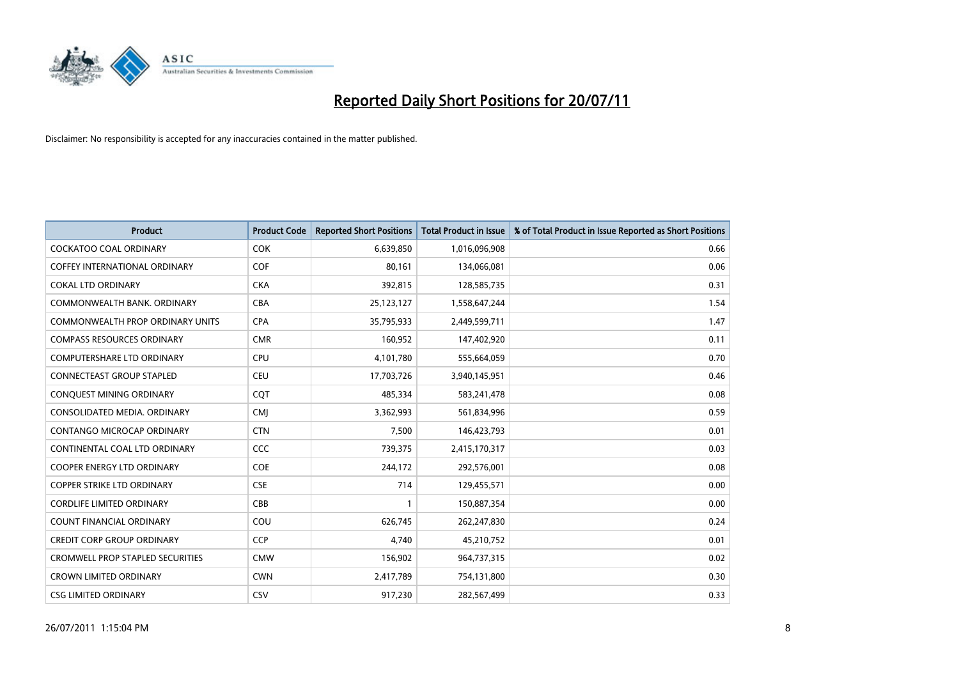

| <b>Product</b>                          | <b>Product Code</b> | <b>Reported Short Positions</b> | Total Product in Issue | % of Total Product in Issue Reported as Short Positions |
|-----------------------------------------|---------------------|---------------------------------|------------------------|---------------------------------------------------------|
| <b>COCKATOO COAL ORDINARY</b>           | <b>COK</b>          | 6,639,850                       | 1,016,096,908          | 0.66                                                    |
| COFFEY INTERNATIONAL ORDINARY           | COF                 | 80,161                          | 134,066,081            | 0.06                                                    |
| <b>COKAL LTD ORDINARY</b>               | <b>CKA</b>          | 392,815                         | 128,585,735            | 0.31                                                    |
| COMMONWEALTH BANK, ORDINARY             | <b>CBA</b>          | 25,123,127                      | 1,558,647,244          | 1.54                                                    |
| <b>COMMONWEALTH PROP ORDINARY UNITS</b> | <b>CPA</b>          | 35,795,933                      | 2,449,599,711          | 1.47                                                    |
| COMPASS RESOURCES ORDINARY              | <b>CMR</b>          | 160,952                         | 147,402,920            | 0.11                                                    |
| <b>COMPUTERSHARE LTD ORDINARY</b>       | CPU                 | 4,101,780                       | 555,664,059            | 0.70                                                    |
| <b>CONNECTEAST GROUP STAPLED</b>        | <b>CEU</b>          | 17,703,726                      | 3,940,145,951          | 0.46                                                    |
| CONQUEST MINING ORDINARY                | <b>COT</b>          | 485,334                         | 583,241,478            | 0.08                                                    |
| CONSOLIDATED MEDIA, ORDINARY            | <b>CMI</b>          | 3,362,993                       | 561,834,996            | 0.59                                                    |
| CONTANGO MICROCAP ORDINARY              | <b>CTN</b>          | 7,500                           | 146,423,793            | 0.01                                                    |
| CONTINENTAL COAL LTD ORDINARY           | CCC                 | 739,375                         | 2,415,170,317          | 0.03                                                    |
| <b>COOPER ENERGY LTD ORDINARY</b>       | <b>COE</b>          | 244,172                         | 292,576,001            | 0.08                                                    |
| <b>COPPER STRIKE LTD ORDINARY</b>       | <b>CSE</b>          | 714                             | 129,455,571            | 0.00                                                    |
| <b>CORDLIFE LIMITED ORDINARY</b>        | CBB                 |                                 | 150,887,354            | 0.00                                                    |
| COUNT FINANCIAL ORDINARY                | COU                 | 626,745                         | 262,247,830            | 0.24                                                    |
| <b>CREDIT CORP GROUP ORDINARY</b>       | <b>CCP</b>          | 4,740                           | 45,210,752             | 0.01                                                    |
| <b>CROMWELL PROP STAPLED SECURITIES</b> | <b>CMW</b>          | 156,902                         | 964,737,315            | 0.02                                                    |
| <b>CROWN LIMITED ORDINARY</b>           | <b>CWN</b>          | 2,417,789                       | 754,131,800            | 0.30                                                    |
| <b>CSG LIMITED ORDINARY</b>             | CSV                 | 917.230                         | 282,567,499            | 0.33                                                    |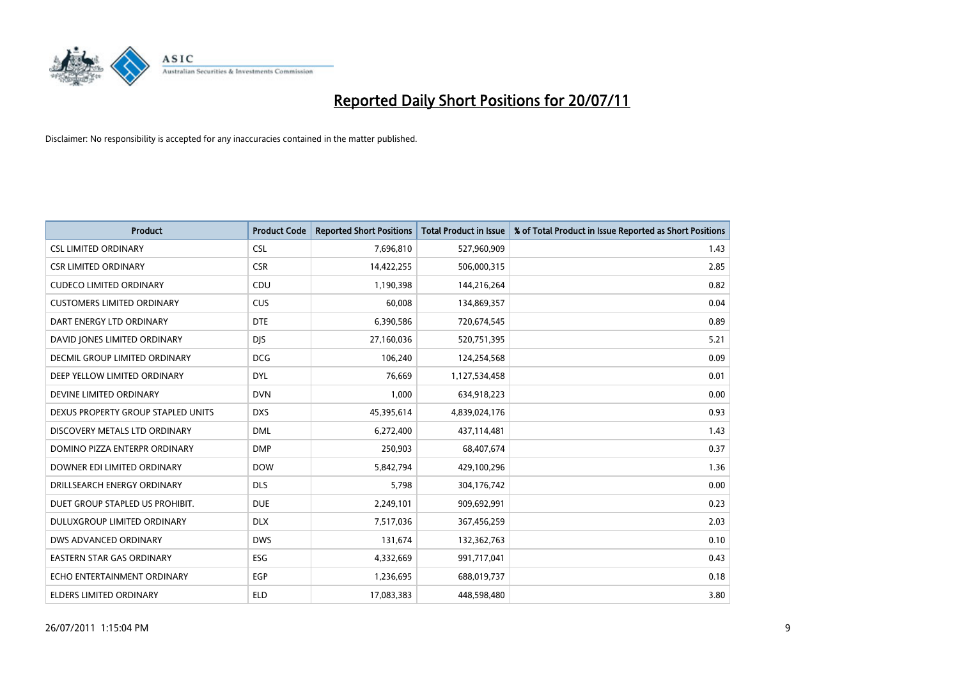

| <b>Product</b>                       | <b>Product Code</b> | <b>Reported Short Positions</b> | Total Product in Issue | % of Total Product in Issue Reported as Short Positions |
|--------------------------------------|---------------------|---------------------------------|------------------------|---------------------------------------------------------|
| <b>CSL LIMITED ORDINARY</b>          | <b>CSL</b>          | 7,696,810                       | 527,960,909            | 1.43                                                    |
| <b>CSR LIMITED ORDINARY</b>          | <b>CSR</b>          | 14,422,255                      | 506,000,315            | 2.85                                                    |
| <b>CUDECO LIMITED ORDINARY</b>       | CDU                 | 1,190,398                       | 144,216,264            | 0.82                                                    |
| <b>CUSTOMERS LIMITED ORDINARY</b>    | CUS                 | 60,008                          | 134,869,357            | 0.04                                                    |
| DART ENERGY LTD ORDINARY             | <b>DTE</b>          | 6,390,586                       | 720,674,545            | 0.89                                                    |
| DAVID JONES LIMITED ORDINARY         | <b>DJS</b>          | 27,160,036                      | 520,751,395            | 5.21                                                    |
| <b>DECMIL GROUP LIMITED ORDINARY</b> | <b>DCG</b>          | 106,240                         | 124,254,568            | 0.09                                                    |
| DEEP YELLOW LIMITED ORDINARY         | <b>DYL</b>          | 76,669                          | 1,127,534,458          | 0.01                                                    |
| DEVINE LIMITED ORDINARY              | <b>DVN</b>          | 1,000                           | 634,918,223            | 0.00                                                    |
| DEXUS PROPERTY GROUP STAPLED UNITS   | <b>DXS</b>          | 45,395,614                      | 4,839,024,176          | 0.93                                                    |
| DISCOVERY METALS LTD ORDINARY        | <b>DML</b>          | 6,272,400                       | 437,114,481            | 1.43                                                    |
| DOMINO PIZZA ENTERPR ORDINARY        | <b>DMP</b>          | 250,903                         | 68,407,674             | 0.37                                                    |
| DOWNER EDI LIMITED ORDINARY          | <b>DOW</b>          | 5,842,794                       | 429,100,296            | 1.36                                                    |
| DRILLSEARCH ENERGY ORDINARY          | <b>DLS</b>          | 5,798                           | 304,176,742            | 0.00                                                    |
| DUET GROUP STAPLED US PROHIBIT.      | <b>DUE</b>          | 2,249,101                       | 909,692,991            | 0.23                                                    |
| DULUXGROUP LIMITED ORDINARY          | <b>DLX</b>          | 7,517,036                       | 367,456,259            | 2.03                                                    |
| DWS ADVANCED ORDINARY                | <b>DWS</b>          | 131,674                         | 132,362,763            | 0.10                                                    |
| EASTERN STAR GAS ORDINARY            | ESG                 | 4,332,669                       | 991,717,041            | 0.43                                                    |
| ECHO ENTERTAINMENT ORDINARY          | <b>EGP</b>          | 1,236,695                       | 688,019,737            | 0.18                                                    |
| ELDERS LIMITED ORDINARY              | <b>ELD</b>          | 17,083,383                      | 448,598,480            | 3.80                                                    |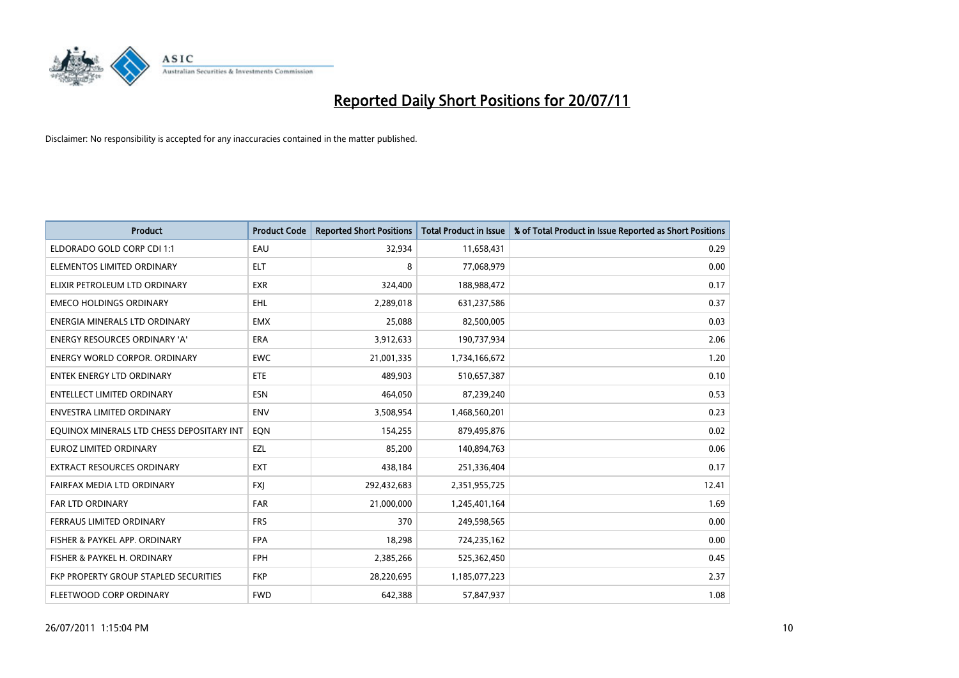

| <b>Product</b>                            | <b>Product Code</b> | <b>Reported Short Positions</b> | <b>Total Product in Issue</b> | % of Total Product in Issue Reported as Short Positions |
|-------------------------------------------|---------------------|---------------------------------|-------------------------------|---------------------------------------------------------|
| ELDORADO GOLD CORP CDI 1:1                | EAU                 | 32,934                          | 11,658,431                    | 0.29                                                    |
| ELEMENTOS LIMITED ORDINARY                | <b>ELT</b>          | 8                               | 77,068,979                    | 0.00                                                    |
| ELIXIR PETROLEUM LTD ORDINARY             | <b>EXR</b>          | 324,400                         | 188,988,472                   | 0.17                                                    |
| <b>EMECO HOLDINGS ORDINARY</b>            | <b>EHL</b>          | 2,289,018                       | 631,237,586                   | 0.37                                                    |
| ENERGIA MINERALS LTD ORDINARY             | <b>EMX</b>          | 25,088                          | 82,500,005                    | 0.03                                                    |
| <b>ENERGY RESOURCES ORDINARY 'A'</b>      | <b>ERA</b>          | 3,912,633                       | 190,737,934                   | 2.06                                                    |
| ENERGY WORLD CORPOR. ORDINARY             | <b>EWC</b>          | 21,001,335                      | 1,734,166,672                 | 1.20                                                    |
| <b>ENTEK ENERGY LTD ORDINARY</b>          | <b>ETE</b>          | 489,903                         | 510,657,387                   | 0.10                                                    |
| <b>ENTELLECT LIMITED ORDINARY</b>         | <b>ESN</b>          | 464,050                         | 87,239,240                    | 0.53                                                    |
| <b>ENVESTRA LIMITED ORDINARY</b>          | <b>ENV</b>          | 3,508,954                       | 1,468,560,201                 | 0.23                                                    |
| EQUINOX MINERALS LTD CHESS DEPOSITARY INT | EON                 | 154,255                         | 879,495,876                   | 0.02                                                    |
| <b>EUROZ LIMITED ORDINARY</b>             | EZL                 | 85,200                          | 140,894,763                   | 0.06                                                    |
| EXTRACT RESOURCES ORDINARY                | <b>EXT</b>          | 438,184                         | 251,336,404                   | 0.17                                                    |
| FAIRFAX MEDIA LTD ORDINARY                | <b>FXI</b>          | 292,432,683                     | 2,351,955,725                 | 12.41                                                   |
| <b>FAR LTD ORDINARY</b>                   | <b>FAR</b>          | 21,000,000                      | 1,245,401,164                 | 1.69                                                    |
| FERRAUS LIMITED ORDINARY                  | <b>FRS</b>          | 370                             | 249,598,565                   | 0.00                                                    |
| FISHER & PAYKEL APP. ORDINARY             | <b>FPA</b>          | 18,298                          | 724,235,162                   | 0.00                                                    |
| FISHER & PAYKEL H. ORDINARY               | <b>FPH</b>          | 2,385,266                       | 525,362,450                   | 0.45                                                    |
| FKP PROPERTY GROUP STAPLED SECURITIES     | <b>FKP</b>          | 28,220,695                      | 1,185,077,223                 | 2.37                                                    |
| FLEETWOOD CORP ORDINARY                   | <b>FWD</b>          | 642,388                         | 57,847,937                    | 1.08                                                    |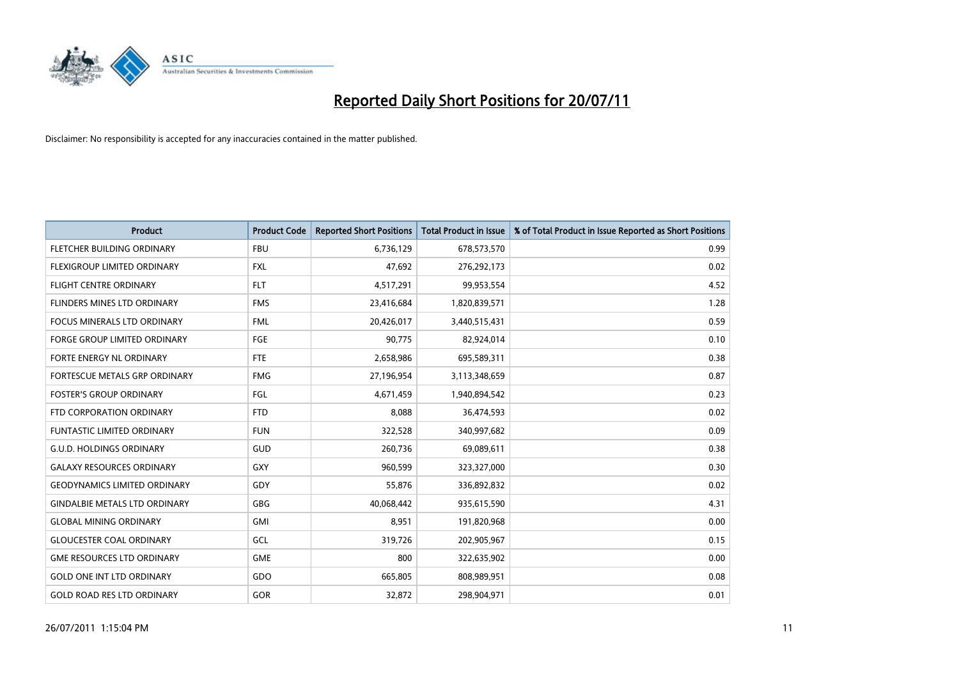

| <b>Product</b>                       | <b>Product Code</b> | <b>Reported Short Positions</b> | <b>Total Product in Issue</b> | % of Total Product in Issue Reported as Short Positions |
|--------------------------------------|---------------------|---------------------------------|-------------------------------|---------------------------------------------------------|
| FLETCHER BUILDING ORDINARY           | <b>FBU</b>          | 6,736,129                       | 678,573,570                   | 0.99                                                    |
| FLEXIGROUP LIMITED ORDINARY          | <b>FXL</b>          | 47,692                          | 276,292,173                   | 0.02                                                    |
| <b>FLIGHT CENTRE ORDINARY</b>        | <b>FLT</b>          | 4,517,291                       | 99,953,554                    | 4.52                                                    |
| FLINDERS MINES LTD ORDINARY          | <b>FMS</b>          | 23,416,684                      | 1,820,839,571                 | 1.28                                                    |
| <b>FOCUS MINERALS LTD ORDINARY</b>   | <b>FML</b>          | 20,426,017                      | 3,440,515,431                 | 0.59                                                    |
| <b>FORGE GROUP LIMITED ORDINARY</b>  | <b>FGE</b>          | 90,775                          | 82,924,014                    | 0.10                                                    |
| <b>FORTE ENERGY NL ORDINARY</b>      | <b>FTE</b>          | 2,658,986                       | 695,589,311                   | 0.38                                                    |
| FORTESCUE METALS GRP ORDINARY        | <b>FMG</b>          | 27,196,954                      | 3,113,348,659                 | 0.87                                                    |
| <b>FOSTER'S GROUP ORDINARY</b>       | FGL                 | 4,671,459                       | 1,940,894,542                 | 0.23                                                    |
| FTD CORPORATION ORDINARY             | <b>FTD</b>          | 8,088                           | 36,474,593                    | 0.02                                                    |
| FUNTASTIC LIMITED ORDINARY           | <b>FUN</b>          | 322,528                         | 340,997,682                   | 0.09                                                    |
| <b>G.U.D. HOLDINGS ORDINARY</b>      | <b>GUD</b>          | 260,736                         | 69,089,611                    | 0.38                                                    |
| <b>GALAXY RESOURCES ORDINARY</b>     | GXY                 | 960,599                         | 323,327,000                   | 0.30                                                    |
| <b>GEODYNAMICS LIMITED ORDINARY</b>  | GDY                 | 55,876                          | 336,892,832                   | 0.02                                                    |
| <b>GINDALBIE METALS LTD ORDINARY</b> | <b>GBG</b>          | 40,068,442                      | 935,615,590                   | 4.31                                                    |
| <b>GLOBAL MINING ORDINARY</b>        | <b>GMI</b>          | 8,951                           | 191,820,968                   | 0.00                                                    |
| <b>GLOUCESTER COAL ORDINARY</b>      | GCL                 | 319,726                         | 202,905,967                   | 0.15                                                    |
| <b>GME RESOURCES LTD ORDINARY</b>    | <b>GME</b>          | 800                             | 322,635,902                   | 0.00                                                    |
| <b>GOLD ONE INT LTD ORDINARY</b>     | GDO                 | 665,805                         | 808,989,951                   | 0.08                                                    |
| <b>GOLD ROAD RES LTD ORDINARY</b>    | <b>GOR</b>          | 32,872                          | 298,904,971                   | 0.01                                                    |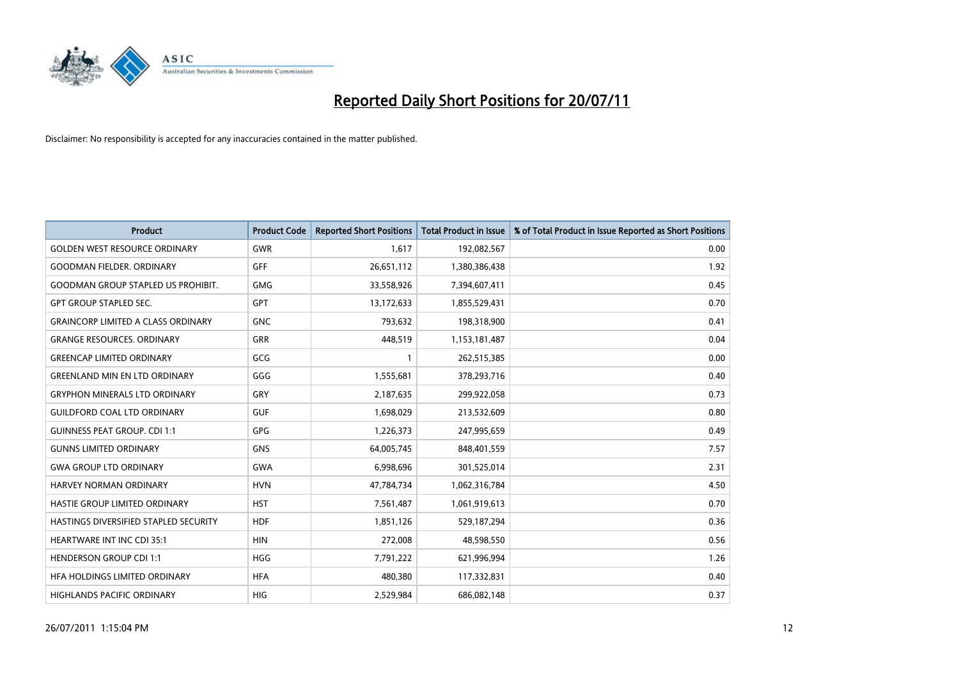

| <b>Product</b>                            | <b>Product Code</b> | <b>Reported Short Positions</b> | <b>Total Product in Issue</b> | % of Total Product in Issue Reported as Short Positions |
|-------------------------------------------|---------------------|---------------------------------|-------------------------------|---------------------------------------------------------|
| <b>GOLDEN WEST RESOURCE ORDINARY</b>      | <b>GWR</b>          | 1,617                           | 192,082,567                   | 0.00                                                    |
| <b>GOODMAN FIELDER. ORDINARY</b>          | <b>GFF</b>          | 26,651,112                      | 1,380,386,438                 | 1.92                                                    |
| <b>GOODMAN GROUP STAPLED US PROHIBIT.</b> | <b>GMG</b>          | 33,558,926                      | 7,394,607,411                 | 0.45                                                    |
| <b>GPT GROUP STAPLED SEC.</b>             | GPT                 | 13,172,633                      | 1,855,529,431                 | 0.70                                                    |
| <b>GRAINCORP LIMITED A CLASS ORDINARY</b> | <b>GNC</b>          | 793,632                         | 198,318,900                   | 0.41                                                    |
| <b>GRANGE RESOURCES, ORDINARY</b>         | <b>GRR</b>          | 448.519                         | 1,153,181,487                 | 0.04                                                    |
| <b>GREENCAP LIMITED ORDINARY</b>          | GCG                 |                                 | 262,515,385                   | 0.00                                                    |
| <b>GREENLAND MIN EN LTD ORDINARY</b>      | GGG                 | 1,555,681                       | 378,293,716                   | 0.40                                                    |
| <b>GRYPHON MINERALS LTD ORDINARY</b>      | <b>GRY</b>          | 2,187,635                       | 299,922,058                   | 0.73                                                    |
| <b>GUILDFORD COAL LTD ORDINARY</b>        | <b>GUF</b>          | 1,698,029                       | 213,532,609                   | 0.80                                                    |
| <b>GUINNESS PEAT GROUP. CDI 1:1</b>       | GPG                 | 1,226,373                       | 247,995,659                   | 0.49                                                    |
| <b>GUNNS LIMITED ORDINARY</b>             | <b>GNS</b>          | 64,005,745                      | 848,401,559                   | 7.57                                                    |
| <b>GWA GROUP LTD ORDINARY</b>             | <b>GWA</b>          | 6,998,696                       | 301,525,014                   | 2.31                                                    |
| <b>HARVEY NORMAN ORDINARY</b>             | <b>HVN</b>          | 47,784,734                      | 1,062,316,784                 | 4.50                                                    |
| <b>HASTIE GROUP LIMITED ORDINARY</b>      | <b>HST</b>          | 7,561,487                       | 1,061,919,613                 | 0.70                                                    |
| HASTINGS DIVERSIFIED STAPLED SECURITY     | <b>HDF</b>          | 1,851,126                       | 529,187,294                   | 0.36                                                    |
| <b>HEARTWARE INT INC CDI 35:1</b>         | <b>HIN</b>          | 272,008                         | 48,598,550                    | 0.56                                                    |
| <b>HENDERSON GROUP CDI 1:1</b>            | <b>HGG</b>          | 7,791,222                       | 621,996,994                   | 1.26                                                    |
| HFA HOLDINGS LIMITED ORDINARY             | <b>HFA</b>          | 480,380                         | 117,332,831                   | 0.40                                                    |
| HIGHLANDS PACIFIC ORDINARY                | <b>HIG</b>          | 2,529,984                       | 686,082,148                   | 0.37                                                    |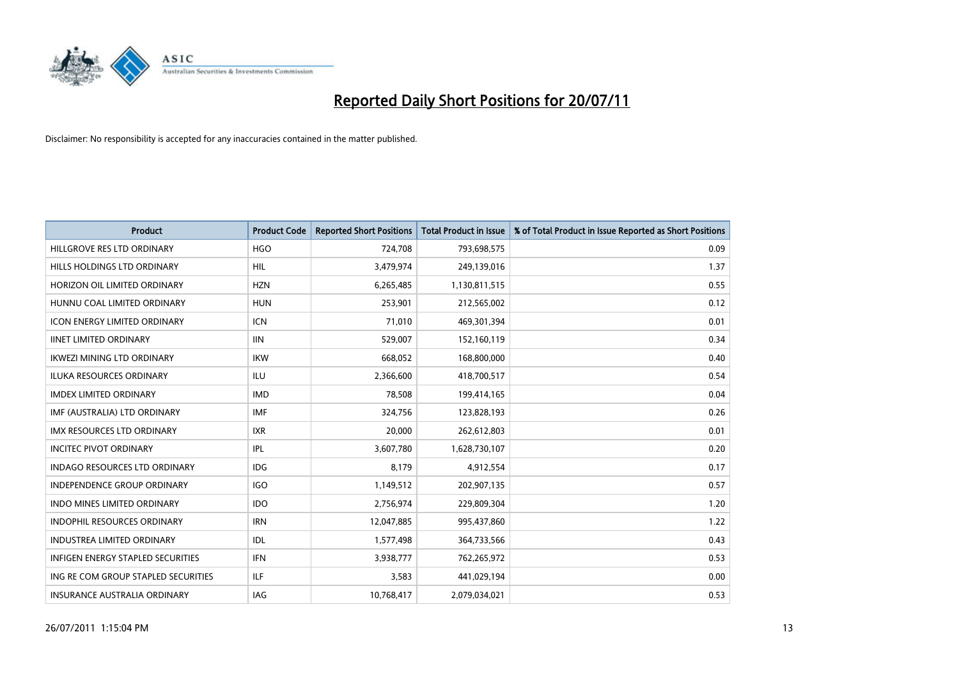

| <b>Product</b>                      | <b>Product Code</b> | <b>Reported Short Positions</b> | <b>Total Product in Issue</b> | % of Total Product in Issue Reported as Short Positions |
|-------------------------------------|---------------------|---------------------------------|-------------------------------|---------------------------------------------------------|
| HILLGROVE RES LTD ORDINARY          | <b>HGO</b>          | 724,708                         | 793,698,575                   | 0.09                                                    |
| HILLS HOLDINGS LTD ORDINARY         | <b>HIL</b>          | 3,479,974                       | 249,139,016                   | 1.37                                                    |
| HORIZON OIL LIMITED ORDINARY        | <b>HZN</b>          | 6,265,485                       | 1,130,811,515                 | 0.55                                                    |
| HUNNU COAL LIMITED ORDINARY         | <b>HUN</b>          | 253,901                         | 212,565,002                   | 0.12                                                    |
| <b>ICON ENERGY LIMITED ORDINARY</b> | <b>ICN</b>          | 71,010                          | 469,301,394                   | 0.01                                                    |
| <b>IINET LIMITED ORDINARY</b>       | <b>IIN</b>          | 529,007                         | 152,160,119                   | 0.34                                                    |
| <b>IKWEZI MINING LTD ORDINARY</b>   | <b>IKW</b>          | 668,052                         | 168,800,000                   | 0.40                                                    |
| <b>ILUKA RESOURCES ORDINARY</b>     | <b>ILU</b>          | 2,366,600                       | 418,700,517                   | 0.54                                                    |
| <b>IMDEX LIMITED ORDINARY</b>       | <b>IMD</b>          | 78,508                          | 199,414,165                   | 0.04                                                    |
| IMF (AUSTRALIA) LTD ORDINARY        | <b>IMF</b>          | 324,756                         | 123,828,193                   | 0.26                                                    |
| IMX RESOURCES LTD ORDINARY          | <b>IXR</b>          | 20,000                          | 262,612,803                   | 0.01                                                    |
| <b>INCITEC PIVOT ORDINARY</b>       | <b>IPL</b>          | 3,607,780                       | 1,628,730,107                 | 0.20                                                    |
| INDAGO RESOURCES LTD ORDINARY       | IDG                 | 8,179                           | 4,912,554                     | 0.17                                                    |
| <b>INDEPENDENCE GROUP ORDINARY</b>  | <b>IGO</b>          | 1,149,512                       | 202,907,135                   | 0.57                                                    |
| <b>INDO MINES LIMITED ORDINARY</b>  | <b>IDO</b>          | 2,756,974                       | 229,809,304                   | 1.20                                                    |
| <b>INDOPHIL RESOURCES ORDINARY</b>  | <b>IRN</b>          | 12,047,885                      | 995,437,860                   | 1.22                                                    |
| INDUSTREA LIMITED ORDINARY          | <b>IDL</b>          | 1,577,498                       | 364,733,566                   | 0.43                                                    |
| INFIGEN ENERGY STAPLED SECURITIES   | <b>IFN</b>          | 3,938,777                       | 762,265,972                   | 0.53                                                    |
| ING RE COM GROUP STAPLED SECURITIES | <b>ILF</b>          | 3,583                           | 441,029,194                   | 0.00                                                    |
| INSURANCE AUSTRALIA ORDINARY        | IAG                 | 10,768,417                      | 2,079,034,021                 | 0.53                                                    |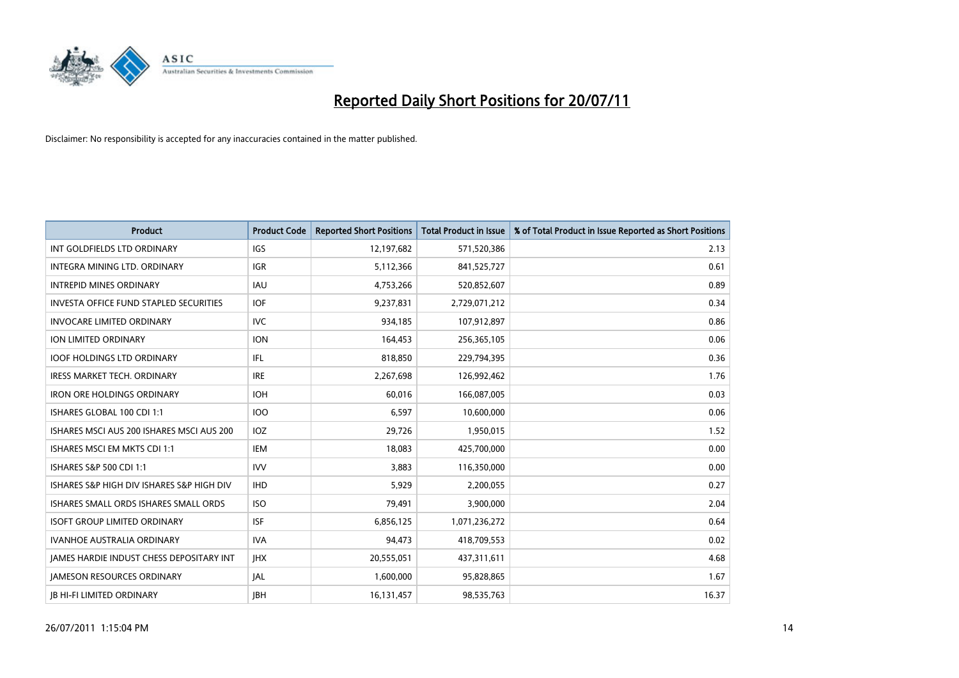

| <b>Product</b>                                  | <b>Product Code</b> | <b>Reported Short Positions</b> | Total Product in Issue | % of Total Product in Issue Reported as Short Positions |
|-------------------------------------------------|---------------------|---------------------------------|------------------------|---------------------------------------------------------|
| INT GOLDFIELDS LTD ORDINARY                     | <b>IGS</b>          | 12,197,682                      | 571,520,386            | 2.13                                                    |
| <b>INTEGRA MINING LTD, ORDINARY</b>             | <b>IGR</b>          | 5,112,366                       | 841,525,727            | 0.61                                                    |
| <b>INTREPID MINES ORDINARY</b>                  | <b>IAU</b>          | 4,753,266                       | 520,852,607            | 0.89                                                    |
| <b>INVESTA OFFICE FUND STAPLED SECURITIES</b>   | <b>IOF</b>          | 9,237,831                       | 2,729,071,212          | 0.34                                                    |
| <b>INVOCARE LIMITED ORDINARY</b>                | <b>IVC</b>          | 934.185                         | 107,912,897            | 0.86                                                    |
| <b>ION LIMITED ORDINARY</b>                     | <b>ION</b>          | 164,453                         | 256,365,105            | 0.06                                                    |
| <b>IOOF HOLDINGS LTD ORDINARY</b>               | IFL.                | 818,850                         | 229,794,395            | 0.36                                                    |
| <b>IRESS MARKET TECH. ORDINARY</b>              | <b>IRE</b>          | 2,267,698                       | 126,992,462            | 1.76                                                    |
| <b>IRON ORE HOLDINGS ORDINARY</b>               | <b>IOH</b>          | 60,016                          | 166,087,005            | 0.03                                                    |
| ISHARES GLOBAL 100 CDI 1:1                      | 100                 | 6.597                           | 10,600,000             | 0.06                                                    |
| ISHARES MSCI AUS 200 ISHARES MSCI AUS 200       | <b>IOZ</b>          | 29,726                          | 1,950,015              | 1.52                                                    |
| ISHARES MSCI EM MKTS CDI 1:1                    | <b>IEM</b>          | 18,083                          | 425,700,000            | 0.00                                                    |
| ISHARES S&P 500 CDI 1:1                         | <b>IVV</b>          | 3.883                           | 116,350,000            | 0.00                                                    |
| ISHARES S&P HIGH DIV ISHARES S&P HIGH DIV       | <b>IHD</b>          | 5.929                           | 2,200,055              | 0.27                                                    |
| ISHARES SMALL ORDS ISHARES SMALL ORDS           | <b>ISO</b>          | 79,491                          | 3,900,000              | 2.04                                                    |
| <b>ISOFT GROUP LIMITED ORDINARY</b>             | <b>ISF</b>          | 6,856,125                       | 1,071,236,272          | 0.64                                                    |
| <b>IVANHOE AUSTRALIA ORDINARY</b>               | <b>IVA</b>          | 94,473                          | 418,709,553            | 0.02                                                    |
| <b>JAMES HARDIE INDUST CHESS DEPOSITARY INT</b> | <b>IHX</b>          | 20,555,051                      | 437,311,611            | 4.68                                                    |
| <b>IAMESON RESOURCES ORDINARY</b>               | <b>JAL</b>          | 1,600,000                       | 95,828,865             | 1.67                                                    |
| <b>IB HI-FI LIMITED ORDINARY</b>                | <b>IBH</b>          | 16,131,457                      | 98,535,763             | 16.37                                                   |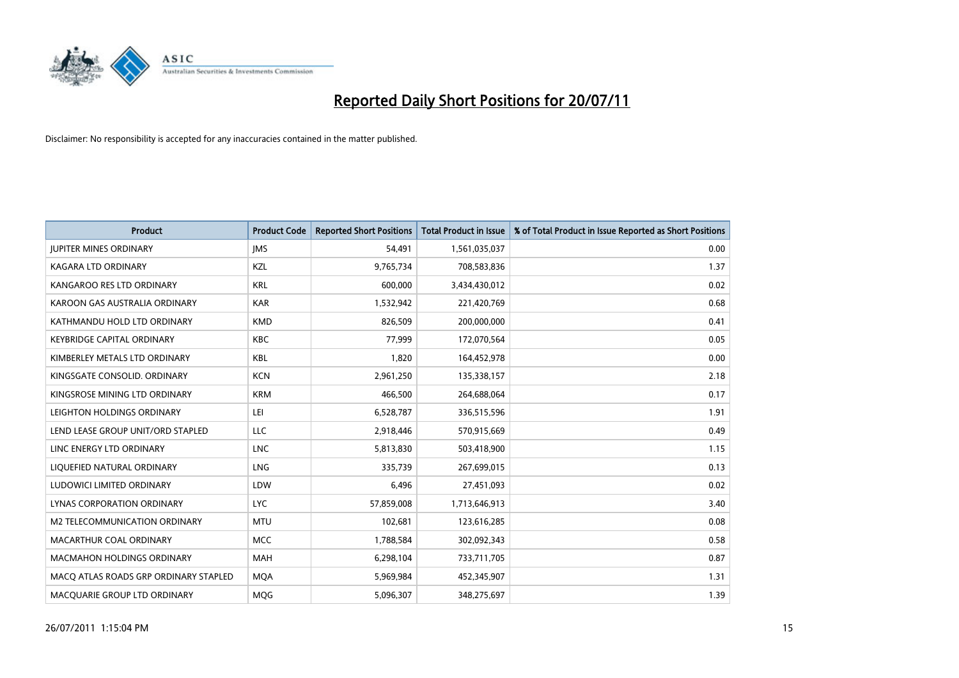

| <b>Product</b>                        | <b>Product Code</b> | <b>Reported Short Positions</b> | <b>Total Product in Issue</b> | % of Total Product in Issue Reported as Short Positions |
|---------------------------------------|---------------------|---------------------------------|-------------------------------|---------------------------------------------------------|
| <b>JUPITER MINES ORDINARY</b>         | <b>IMS</b>          | 54,491                          | 1,561,035,037                 | 0.00                                                    |
| KAGARA LTD ORDINARY                   | KZL                 | 9,765,734                       | 708,583,836                   | 1.37                                                    |
| KANGAROO RES LTD ORDINARY             | <b>KRL</b>          | 600,000                         | 3,434,430,012                 | 0.02                                                    |
| KAROON GAS AUSTRALIA ORDINARY         | <b>KAR</b>          | 1,532,942                       | 221,420,769                   | 0.68                                                    |
| KATHMANDU HOLD LTD ORDINARY           | <b>KMD</b>          | 826,509                         | 200,000,000                   | 0.41                                                    |
| KEYBRIDGE CAPITAL ORDINARY            | <b>KBC</b>          | 77,999                          | 172,070,564                   | 0.05                                                    |
| KIMBERLEY METALS LTD ORDINARY         | <b>KBL</b>          | 1,820                           | 164,452,978                   | 0.00                                                    |
| KINGSGATE CONSOLID. ORDINARY          | <b>KCN</b>          | 2,961,250                       | 135,338,157                   | 2.18                                                    |
| KINGSROSE MINING LTD ORDINARY         | <b>KRM</b>          | 466,500                         | 264,688,064                   | 0.17                                                    |
| LEIGHTON HOLDINGS ORDINARY            | LEI                 | 6,528,787                       | 336,515,596                   | 1.91                                                    |
| LEND LEASE GROUP UNIT/ORD STAPLED     | LLC                 | 2,918,446                       | 570,915,669                   | 0.49                                                    |
| LINC ENERGY LTD ORDINARY              | <b>LNC</b>          | 5,813,830                       | 503,418,900                   | 1.15                                                    |
| LIQUEFIED NATURAL ORDINARY            | LNG                 | 335,739                         | 267,699,015                   | 0.13                                                    |
| LUDOWICI LIMITED ORDINARY             | LDW                 | 6,496                           | 27,451,093                    | 0.02                                                    |
| LYNAS CORPORATION ORDINARY            | <b>LYC</b>          | 57,859,008                      | 1,713,646,913                 | 3.40                                                    |
| M2 TELECOMMUNICATION ORDINARY         | <b>MTU</b>          | 102,681                         | 123,616,285                   | 0.08                                                    |
| MACARTHUR COAL ORDINARY               | <b>MCC</b>          | 1,788,584                       | 302,092,343                   | 0.58                                                    |
| <b>MACMAHON HOLDINGS ORDINARY</b>     | <b>MAH</b>          | 6,298,104                       | 733,711,705                   | 0.87                                                    |
| MACO ATLAS ROADS GRP ORDINARY STAPLED | <b>MOA</b>          | 5,969,984                       | 452,345,907                   | 1.31                                                    |
| MACQUARIE GROUP LTD ORDINARY          | <b>MOG</b>          | 5,096,307                       | 348,275,697                   | 1.39                                                    |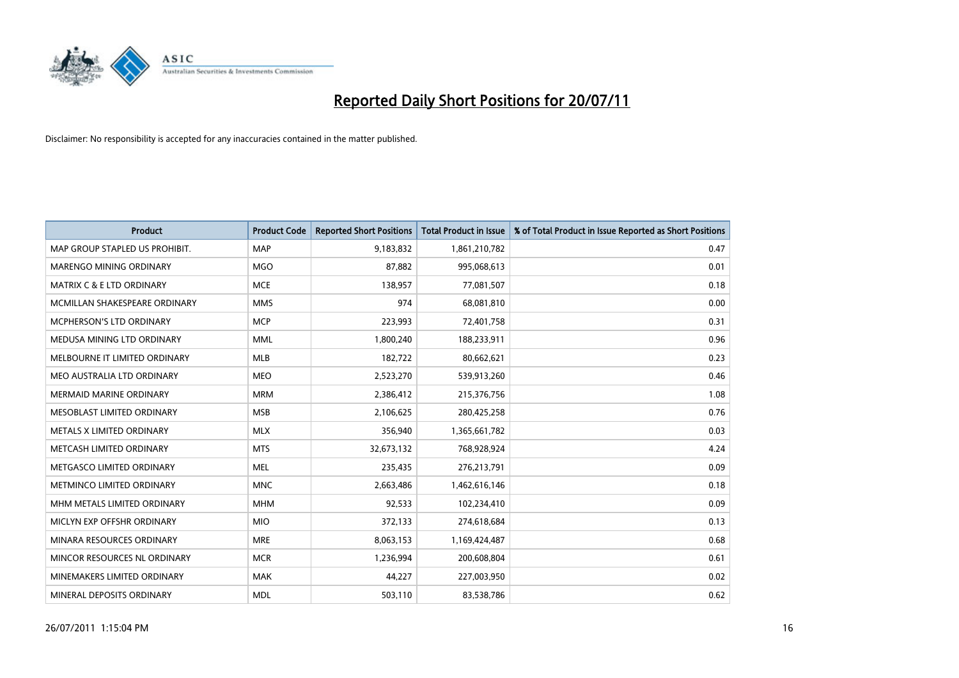

| <b>Product</b>                       | <b>Product Code</b> | <b>Reported Short Positions</b> | <b>Total Product in Issue</b> | % of Total Product in Issue Reported as Short Positions |
|--------------------------------------|---------------------|---------------------------------|-------------------------------|---------------------------------------------------------|
| MAP GROUP STAPLED US PROHIBIT.       | <b>MAP</b>          | 9,183,832                       | 1,861,210,782                 | 0.47                                                    |
| MARENGO MINING ORDINARY              | <b>MGO</b>          | 87,882                          | 995,068,613                   | 0.01                                                    |
| <b>MATRIX C &amp; E LTD ORDINARY</b> | <b>MCE</b>          | 138,957                         | 77,081,507                    | 0.18                                                    |
| MCMILLAN SHAKESPEARE ORDINARY        | <b>MMS</b>          | 974                             | 68,081,810                    | 0.00                                                    |
| <b>MCPHERSON'S LTD ORDINARY</b>      | <b>MCP</b>          | 223,993                         | 72,401,758                    | 0.31                                                    |
| MEDUSA MINING LTD ORDINARY           | <b>MML</b>          | 1,800,240                       | 188,233,911                   | 0.96                                                    |
| MELBOURNE IT LIMITED ORDINARY        | <b>MLB</b>          | 182,722                         | 80,662,621                    | 0.23                                                    |
| MEO AUSTRALIA LTD ORDINARY           | <b>MEO</b>          | 2,523,270                       | 539,913,260                   | 0.46                                                    |
| MERMAID MARINE ORDINARY              | <b>MRM</b>          | 2,386,412                       | 215,376,756                   | 1.08                                                    |
| MESOBLAST LIMITED ORDINARY           | <b>MSB</b>          | 2,106,625                       | 280,425,258                   | 0.76                                                    |
| METALS X LIMITED ORDINARY            | <b>MLX</b>          | 356,940                         | 1,365,661,782                 | 0.03                                                    |
| METCASH LIMITED ORDINARY             | <b>MTS</b>          | 32,673,132                      | 768,928,924                   | 4.24                                                    |
| METGASCO LIMITED ORDINARY            | <b>MEL</b>          | 235,435                         | 276,213,791                   | 0.09                                                    |
| METMINCO LIMITED ORDINARY            | <b>MNC</b>          | 2,663,486                       | 1,462,616,146                 | 0.18                                                    |
| MHM METALS LIMITED ORDINARY          | <b>MHM</b>          | 92,533                          | 102,234,410                   | 0.09                                                    |
| MICLYN EXP OFFSHR ORDINARY           | <b>MIO</b>          | 372,133                         | 274,618,684                   | 0.13                                                    |
| MINARA RESOURCES ORDINARY            | <b>MRE</b>          | 8,063,153                       | 1,169,424,487                 | 0.68                                                    |
| MINCOR RESOURCES NL ORDINARY         | <b>MCR</b>          | 1,236,994                       | 200,608,804                   | 0.61                                                    |
| MINEMAKERS LIMITED ORDINARY          | <b>MAK</b>          | 44,227                          | 227,003,950                   | 0.02                                                    |
| MINERAL DEPOSITS ORDINARY            | <b>MDL</b>          | 503,110                         | 83,538,786                    | 0.62                                                    |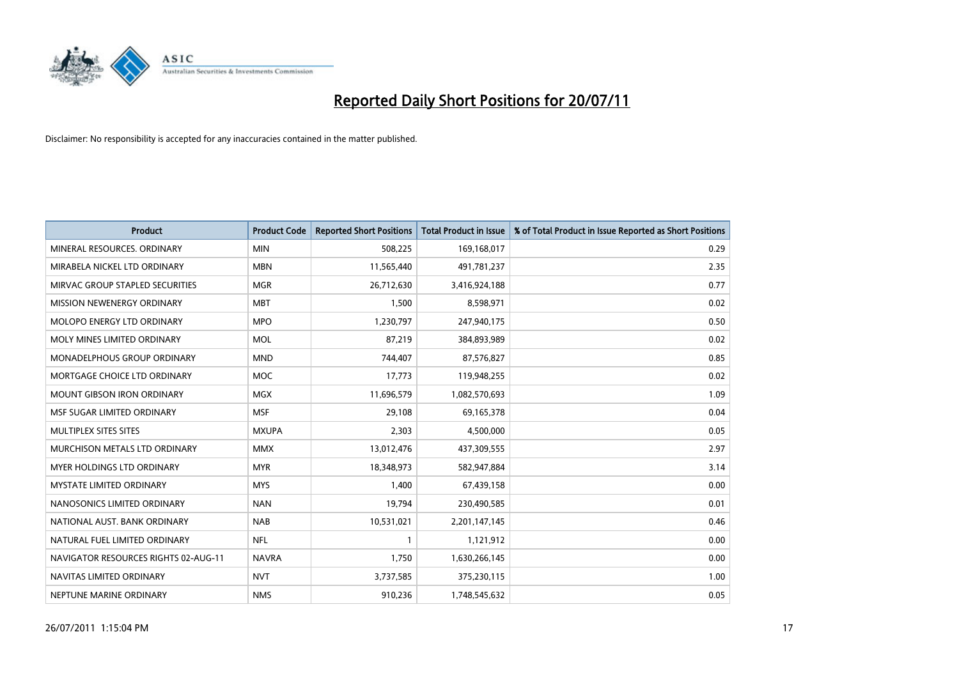

| <b>Product</b>                       | <b>Product Code</b> | <b>Reported Short Positions</b> | <b>Total Product in Issue</b> | % of Total Product in Issue Reported as Short Positions |
|--------------------------------------|---------------------|---------------------------------|-------------------------------|---------------------------------------------------------|
| MINERAL RESOURCES, ORDINARY          | <b>MIN</b>          | 508,225                         | 169,168,017                   | 0.29                                                    |
| MIRABELA NICKEL LTD ORDINARY         | <b>MBN</b>          | 11,565,440                      | 491,781,237                   | 2.35                                                    |
| MIRVAC GROUP STAPLED SECURITIES      | <b>MGR</b>          | 26,712,630                      | 3,416,924,188                 | 0.77                                                    |
| MISSION NEWENERGY ORDINARY           | <b>MBT</b>          | 1,500                           | 8,598,971                     | 0.02                                                    |
| MOLOPO ENERGY LTD ORDINARY           | <b>MPO</b>          | 1,230,797                       | 247,940,175                   | 0.50                                                    |
| MOLY MINES LIMITED ORDINARY          | <b>MOL</b>          | 87,219                          | 384,893,989                   | 0.02                                                    |
| MONADELPHOUS GROUP ORDINARY          | <b>MND</b>          | 744,407                         | 87,576,827                    | 0.85                                                    |
| MORTGAGE CHOICE LTD ORDINARY         | <b>MOC</b>          | 17,773                          | 119,948,255                   | 0.02                                                    |
| <b>MOUNT GIBSON IRON ORDINARY</b>    | <b>MGX</b>          | 11,696,579                      | 1,082,570,693                 | 1.09                                                    |
| MSF SUGAR LIMITED ORDINARY           | <b>MSF</b>          | 29,108                          | 69,165,378                    | 0.04                                                    |
| MULTIPLEX SITES SITES                | <b>MXUPA</b>        | 2,303                           | 4,500,000                     | 0.05                                                    |
| MURCHISON METALS LTD ORDINARY        | <b>MMX</b>          | 13,012,476                      | 437,309,555                   | 2.97                                                    |
| <b>MYER HOLDINGS LTD ORDINARY</b>    | <b>MYR</b>          | 18,348,973                      | 582,947,884                   | 3.14                                                    |
| <b>MYSTATE LIMITED ORDINARY</b>      | <b>MYS</b>          | 1,400                           | 67,439,158                    | 0.00                                                    |
| NANOSONICS LIMITED ORDINARY          | <b>NAN</b>          | 19,794                          | 230,490,585                   | 0.01                                                    |
| NATIONAL AUST. BANK ORDINARY         | <b>NAB</b>          | 10,531,021                      | 2,201,147,145                 | 0.46                                                    |
| NATURAL FUEL LIMITED ORDINARY        | <b>NFL</b>          |                                 | 1,121,912                     | 0.00                                                    |
| NAVIGATOR RESOURCES RIGHTS 02-AUG-11 | <b>NAVRA</b>        | 1,750                           | 1,630,266,145                 | 0.00                                                    |
| NAVITAS LIMITED ORDINARY             | <b>NVT</b>          | 3,737,585                       | 375,230,115                   | 1.00                                                    |
| NEPTUNE MARINE ORDINARY              | <b>NMS</b>          | 910,236                         | 1,748,545,632                 | 0.05                                                    |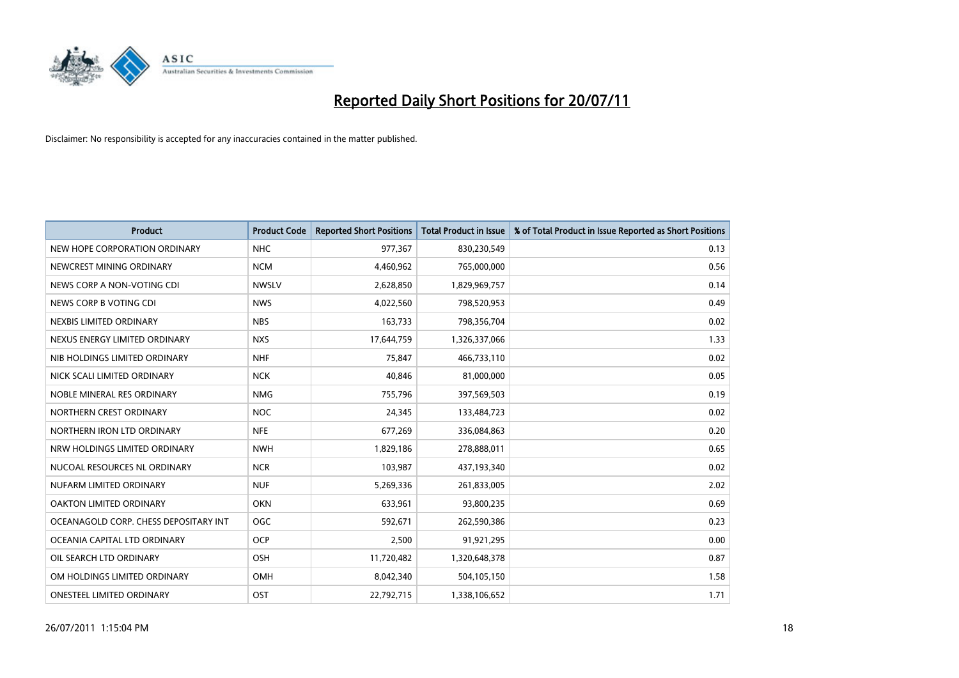

| <b>Product</b>                        | <b>Product Code</b> | <b>Reported Short Positions</b> | Total Product in Issue | % of Total Product in Issue Reported as Short Positions |
|---------------------------------------|---------------------|---------------------------------|------------------------|---------------------------------------------------------|
| NEW HOPE CORPORATION ORDINARY         | <b>NHC</b>          | 977,367                         | 830,230,549            | 0.13                                                    |
| NEWCREST MINING ORDINARY              | <b>NCM</b>          | 4,460,962                       | 765,000,000            | 0.56                                                    |
| NEWS CORP A NON-VOTING CDI            | <b>NWSLV</b>        | 2,628,850                       | 1,829,969,757          | 0.14                                                    |
| NEWS CORP B VOTING CDI                | <b>NWS</b>          | 4,022,560                       | 798,520,953            | 0.49                                                    |
| NEXBIS LIMITED ORDINARY               | <b>NBS</b>          | 163,733                         | 798,356,704            | 0.02                                                    |
| NEXUS ENERGY LIMITED ORDINARY         | <b>NXS</b>          | 17,644,759                      | 1,326,337,066          | 1.33                                                    |
| NIB HOLDINGS LIMITED ORDINARY         | <b>NHF</b>          | 75.847                          | 466,733,110            | 0.02                                                    |
| NICK SCALI LIMITED ORDINARY           | <b>NCK</b>          | 40,846                          | 81,000,000             | 0.05                                                    |
| NOBLE MINERAL RES ORDINARY            | <b>NMG</b>          | 755,796                         | 397,569,503            | 0.19                                                    |
| NORTHERN CREST ORDINARY               | NOC                 | 24,345                          | 133,484,723            | 0.02                                                    |
| NORTHERN IRON LTD ORDINARY            | <b>NFE</b>          | 677,269                         | 336,084,863            | 0.20                                                    |
| NRW HOLDINGS LIMITED ORDINARY         | <b>NWH</b>          | 1,829,186                       | 278,888,011            | 0.65                                                    |
| NUCOAL RESOURCES NL ORDINARY          | <b>NCR</b>          | 103,987                         | 437,193,340            | 0.02                                                    |
| NUFARM LIMITED ORDINARY               | <b>NUF</b>          | 5,269,336                       | 261,833,005            | 2.02                                                    |
| <b>OAKTON LIMITED ORDINARY</b>        | <b>OKN</b>          | 633,961                         | 93,800,235             | 0.69                                                    |
| OCEANAGOLD CORP. CHESS DEPOSITARY INT | <b>OGC</b>          | 592,671                         | 262,590,386            | 0.23                                                    |
| OCEANIA CAPITAL LTD ORDINARY          | <b>OCP</b>          | 2,500                           | 91,921,295             | 0.00                                                    |
| OIL SEARCH LTD ORDINARY               | <b>OSH</b>          | 11,720,482                      | 1,320,648,378          | 0.87                                                    |
| OM HOLDINGS LIMITED ORDINARY          | <b>OMH</b>          | 8,042,340                       | 504,105,150            | 1.58                                                    |
| <b>ONESTEEL LIMITED ORDINARY</b>      | OST                 | 22.792.715                      | 1,338,106,652          | 1.71                                                    |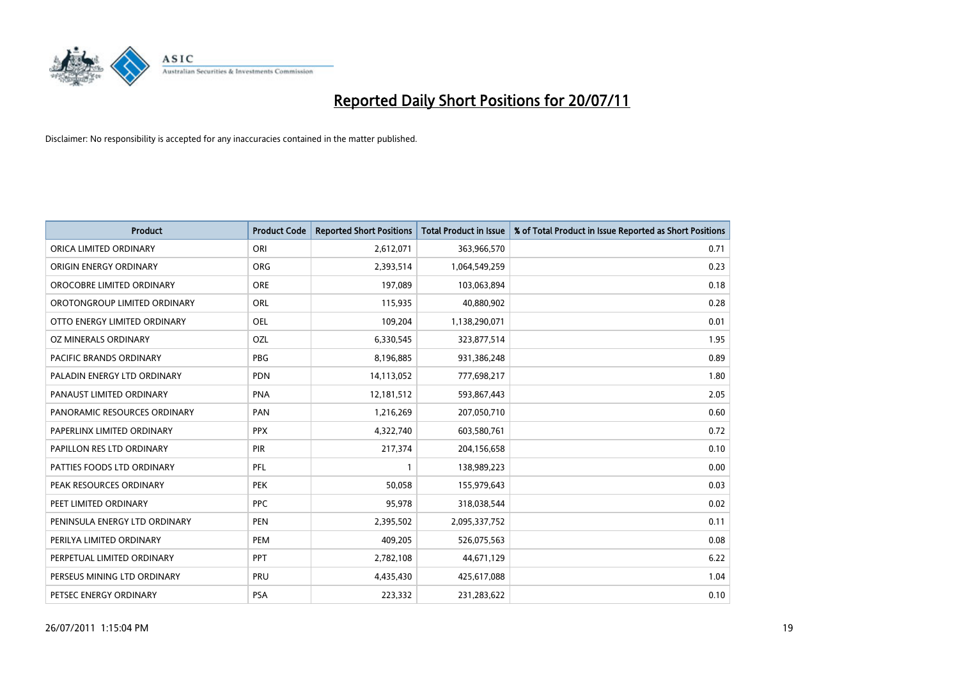

| <b>Product</b>                 | <b>Product Code</b> | <b>Reported Short Positions</b> | Total Product in Issue | % of Total Product in Issue Reported as Short Positions |
|--------------------------------|---------------------|---------------------------------|------------------------|---------------------------------------------------------|
| ORICA LIMITED ORDINARY         | ORI                 | 2,612,071                       | 363,966,570            | 0.71                                                    |
| ORIGIN ENERGY ORDINARY         | <b>ORG</b>          | 2,393,514                       | 1,064,549,259          | 0.23                                                    |
| OROCOBRE LIMITED ORDINARY      | <b>ORE</b>          | 197,089                         | 103,063,894            | 0.18                                                    |
| OROTONGROUP LIMITED ORDINARY   | <b>ORL</b>          | 115,935                         | 40,880,902             | 0.28                                                    |
| OTTO ENERGY LIMITED ORDINARY   | <b>OEL</b>          | 109,204                         | 1,138,290,071          | 0.01                                                    |
| OZ MINERALS ORDINARY           | OZL                 | 6,330,545                       | 323,877,514            | 1.95                                                    |
| <b>PACIFIC BRANDS ORDINARY</b> | <b>PBG</b>          | 8,196,885                       | 931,386,248            | 0.89                                                    |
| PALADIN ENERGY LTD ORDINARY    | <b>PDN</b>          | 14,113,052                      | 777,698,217            | 1.80                                                    |
| PANAUST LIMITED ORDINARY       | <b>PNA</b>          | 12,181,512                      | 593,867,443            | 2.05                                                    |
| PANORAMIC RESOURCES ORDINARY   | PAN                 | 1,216,269                       | 207,050,710            | 0.60                                                    |
| PAPERLINX LIMITED ORDINARY     | <b>PPX</b>          | 4,322,740                       | 603,580,761            | 0.72                                                    |
| PAPILLON RES LTD ORDINARY      | PIR                 | 217,374                         | 204,156,658            | 0.10                                                    |
| PATTIES FOODS LTD ORDINARY     | PFL                 |                                 | 138,989,223            | 0.00                                                    |
| PEAK RESOURCES ORDINARY        | <b>PEK</b>          | 50,058                          | 155,979,643            | 0.03                                                    |
| PEET LIMITED ORDINARY          | <b>PPC</b>          | 95,978                          | 318,038,544            | 0.02                                                    |
| PENINSULA ENERGY LTD ORDINARY  | <b>PEN</b>          | 2,395,502                       | 2,095,337,752          | 0.11                                                    |
| PERILYA LIMITED ORDINARY       | PEM                 | 409,205                         | 526,075,563            | 0.08                                                    |
| PERPETUAL LIMITED ORDINARY     | PPT                 | 2,782,108                       | 44,671,129             | 6.22                                                    |
| PERSEUS MINING LTD ORDINARY    | PRU                 | 4,435,430                       | 425,617,088            | 1.04                                                    |
| PETSEC ENERGY ORDINARY         | <b>PSA</b>          | 223,332                         | 231,283,622            | 0.10                                                    |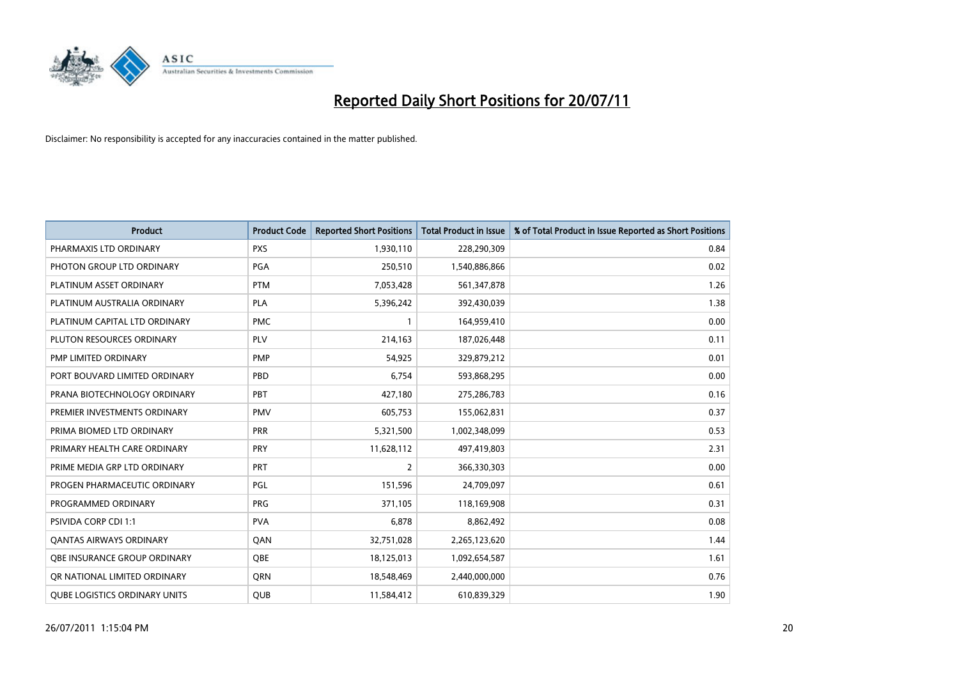

| <b>Product</b>                       | <b>Product Code</b> | <b>Reported Short Positions</b> | Total Product in Issue | % of Total Product in Issue Reported as Short Positions |
|--------------------------------------|---------------------|---------------------------------|------------------------|---------------------------------------------------------|
| PHARMAXIS LTD ORDINARY               | <b>PXS</b>          | 1,930,110                       | 228,290,309            | 0.84                                                    |
| PHOTON GROUP LTD ORDINARY            | PGA                 | 250,510                         | 1,540,886,866          | 0.02                                                    |
| PLATINUM ASSET ORDINARY              | <b>PTM</b>          | 7,053,428                       | 561,347,878            | 1.26                                                    |
| PLATINUM AUSTRALIA ORDINARY          | <b>PLA</b>          | 5,396,242                       | 392,430,039            | 1.38                                                    |
| PLATINUM CAPITAL LTD ORDINARY        | <b>PMC</b>          |                                 | 164,959,410            | 0.00                                                    |
| PLUTON RESOURCES ORDINARY            | PLV                 | 214,163                         | 187,026,448            | 0.11                                                    |
| PMP LIMITED ORDINARY                 | <b>PMP</b>          | 54,925                          | 329,879,212            | 0.01                                                    |
| PORT BOUVARD LIMITED ORDINARY        | PBD                 | 6,754                           | 593,868,295            | 0.00                                                    |
| PRANA BIOTECHNOLOGY ORDINARY         | PBT                 | 427,180                         | 275,286,783            | 0.16                                                    |
| PREMIER INVESTMENTS ORDINARY         | <b>PMV</b>          | 605,753                         | 155,062,831            | 0.37                                                    |
| PRIMA BIOMED LTD ORDINARY            | PRR                 | 5,321,500                       | 1,002,348,099          | 0.53                                                    |
| PRIMARY HEALTH CARE ORDINARY         | PRY                 | 11,628,112                      | 497,419,803            | 2.31                                                    |
| PRIME MEDIA GRP LTD ORDINARY         | PRT                 | $\overline{2}$                  | 366,330,303            | 0.00                                                    |
| PROGEN PHARMACEUTIC ORDINARY         | PGL                 | 151,596                         | 24,709,097             | 0.61                                                    |
| PROGRAMMED ORDINARY                  | <b>PRG</b>          | 371,105                         | 118,169,908            | 0.31                                                    |
| PSIVIDA CORP CDI 1:1                 | <b>PVA</b>          | 6,878                           | 8,862,492              | 0.08                                                    |
| <b>QANTAS AIRWAYS ORDINARY</b>       | QAN                 | 32,751,028                      | 2,265,123,620          | 1.44                                                    |
| <b>OBE INSURANCE GROUP ORDINARY</b>  | OBE                 | 18,125,013                      | 1,092,654,587          | 1.61                                                    |
| OR NATIONAL LIMITED ORDINARY         | <b>ORN</b>          | 18,548,469                      | 2,440,000,000          | 0.76                                                    |
| <b>QUBE LOGISTICS ORDINARY UNITS</b> | <b>QUB</b>          | 11,584,412                      | 610,839,329            | 1.90                                                    |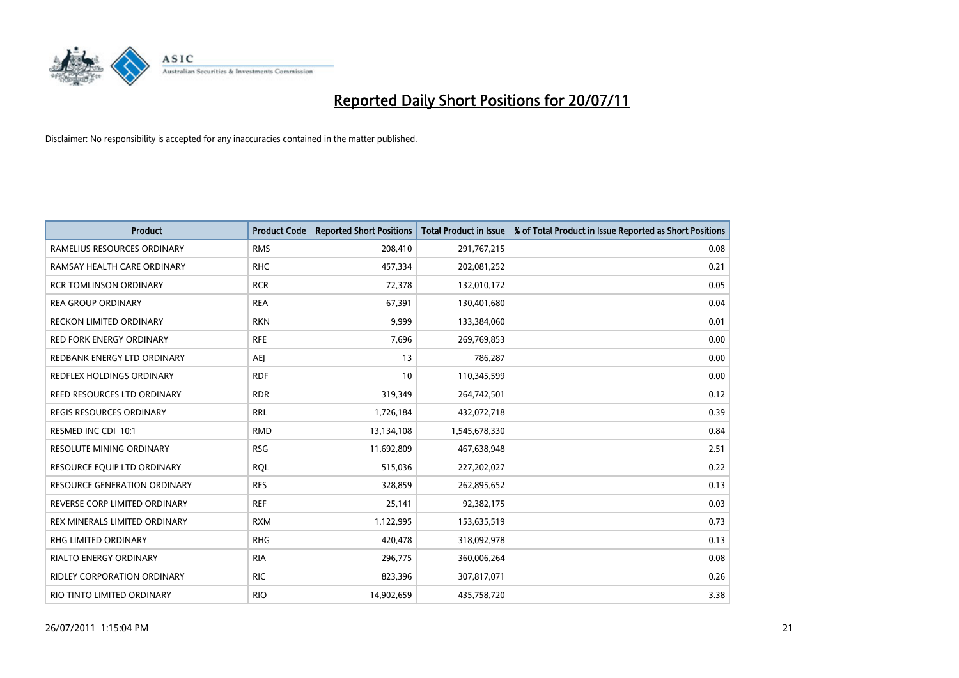

| <b>Product</b>                      | <b>Product Code</b> | <b>Reported Short Positions</b> | <b>Total Product in Issue</b> | % of Total Product in Issue Reported as Short Positions |
|-------------------------------------|---------------------|---------------------------------|-------------------------------|---------------------------------------------------------|
| RAMELIUS RESOURCES ORDINARY         | <b>RMS</b>          | 208,410                         | 291,767,215                   | 0.08                                                    |
| RAMSAY HEALTH CARE ORDINARY         | <b>RHC</b>          | 457,334                         | 202,081,252                   | 0.21                                                    |
| <b>RCR TOMLINSON ORDINARY</b>       | <b>RCR</b>          | 72,378                          | 132,010,172                   | 0.05                                                    |
| <b>REA GROUP ORDINARY</b>           | <b>REA</b>          | 67,391                          | 130,401,680                   | 0.04                                                    |
| <b>RECKON LIMITED ORDINARY</b>      | <b>RKN</b>          | 9,999                           | 133,384,060                   | 0.01                                                    |
| <b>RED FORK ENERGY ORDINARY</b>     | <b>RFE</b>          | 7,696                           | 269,769,853                   | 0.00                                                    |
| REDBANK ENERGY LTD ORDINARY         | <b>AEJ</b>          | 13                              | 786,287                       | 0.00                                                    |
| REDFLEX HOLDINGS ORDINARY           | <b>RDF</b>          | 10                              | 110,345,599                   | 0.00                                                    |
| REED RESOURCES LTD ORDINARY         | <b>RDR</b>          | 319,349                         | 264,742,501                   | 0.12                                                    |
| <b>REGIS RESOURCES ORDINARY</b>     | <b>RRL</b>          | 1,726,184                       | 432,072,718                   | 0.39                                                    |
| RESMED INC CDI 10:1                 | <b>RMD</b>          | 13,134,108                      | 1,545,678,330                 | 0.84                                                    |
| <b>RESOLUTE MINING ORDINARY</b>     | <b>RSG</b>          | 11,692,809                      | 467,638,948                   | 2.51                                                    |
| RESOURCE EQUIP LTD ORDINARY         | <b>RQL</b>          | 515,036                         | 227,202,027                   | 0.22                                                    |
| <b>RESOURCE GENERATION ORDINARY</b> | <b>RES</b>          | 328,859                         | 262,895,652                   | 0.13                                                    |
| REVERSE CORP LIMITED ORDINARY       | <b>REF</b>          | 25,141                          | 92,382,175                    | 0.03                                                    |
| REX MINERALS LIMITED ORDINARY       | <b>RXM</b>          | 1,122,995                       | 153,635,519                   | 0.73                                                    |
| RHG LIMITED ORDINARY                | <b>RHG</b>          | 420,478                         | 318,092,978                   | 0.13                                                    |
| <b>RIALTO ENERGY ORDINARY</b>       | <b>RIA</b>          | 296,775                         | 360,006,264                   | 0.08                                                    |
| <b>RIDLEY CORPORATION ORDINARY</b>  | <b>RIC</b>          | 823,396                         | 307,817,071                   | 0.26                                                    |
| RIO TINTO LIMITED ORDINARY          | <b>RIO</b>          | 14,902,659                      | 435,758,720                   | 3.38                                                    |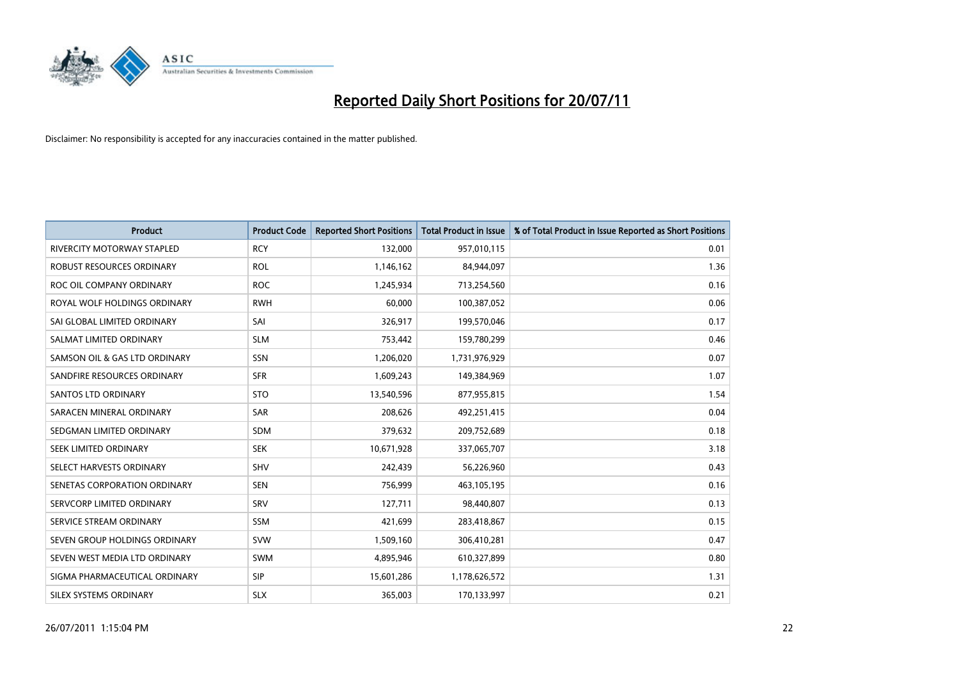

| <b>Product</b>                    | <b>Product Code</b> | <b>Reported Short Positions</b> | <b>Total Product in Issue</b> | % of Total Product in Issue Reported as Short Positions |
|-----------------------------------|---------------------|---------------------------------|-------------------------------|---------------------------------------------------------|
| <b>RIVERCITY MOTORWAY STAPLED</b> | <b>RCY</b>          | 132,000                         | 957,010,115                   | 0.01                                                    |
| ROBUST RESOURCES ORDINARY         | <b>ROL</b>          | 1,146,162                       | 84,944,097                    | 1.36                                                    |
| ROC OIL COMPANY ORDINARY          | <b>ROC</b>          | 1,245,934                       | 713,254,560                   | 0.16                                                    |
| ROYAL WOLF HOLDINGS ORDINARY      | <b>RWH</b>          | 60,000                          | 100,387,052                   | 0.06                                                    |
| SAI GLOBAL LIMITED ORDINARY       | SAI                 | 326,917                         | 199,570,046                   | 0.17                                                    |
| SALMAT LIMITED ORDINARY           | <b>SLM</b>          | 753,442                         | 159,780,299                   | 0.46                                                    |
| SAMSON OIL & GAS LTD ORDINARY     | SSN                 | 1,206,020                       | 1,731,976,929                 | 0.07                                                    |
| SANDFIRE RESOURCES ORDINARY       | <b>SFR</b>          | 1,609,243                       | 149,384,969                   | 1.07                                                    |
| SANTOS LTD ORDINARY               | <b>STO</b>          | 13,540,596                      | 877,955,815                   | 1.54                                                    |
| SARACEN MINERAL ORDINARY          | <b>SAR</b>          | 208,626                         | 492,251,415                   | 0.04                                                    |
| SEDGMAN LIMITED ORDINARY          | <b>SDM</b>          | 379,632                         | 209,752,689                   | 0.18                                                    |
| SEEK LIMITED ORDINARY             | <b>SEK</b>          | 10,671,928                      | 337,065,707                   | 3.18                                                    |
| SELECT HARVESTS ORDINARY          | <b>SHV</b>          | 242,439                         | 56,226,960                    | 0.43                                                    |
| SENETAS CORPORATION ORDINARY      | <b>SEN</b>          | 756,999                         | 463,105,195                   | 0.16                                                    |
| SERVCORP LIMITED ORDINARY         | SRV                 | 127,711                         | 98,440,807                    | 0.13                                                    |
| SERVICE STREAM ORDINARY           | <b>SSM</b>          | 421,699                         | 283,418,867                   | 0.15                                                    |
| SEVEN GROUP HOLDINGS ORDINARY     | <b>SVW</b>          | 1,509,160                       | 306,410,281                   | 0.47                                                    |
| SEVEN WEST MEDIA LTD ORDINARY     | <b>SWM</b>          | 4,895,946                       | 610,327,899                   | 0.80                                                    |
| SIGMA PHARMACEUTICAL ORDINARY     | <b>SIP</b>          | 15,601,286                      | 1,178,626,572                 | 1.31                                                    |
| SILEX SYSTEMS ORDINARY            | <b>SLX</b>          | 365,003                         | 170,133,997                   | 0.21                                                    |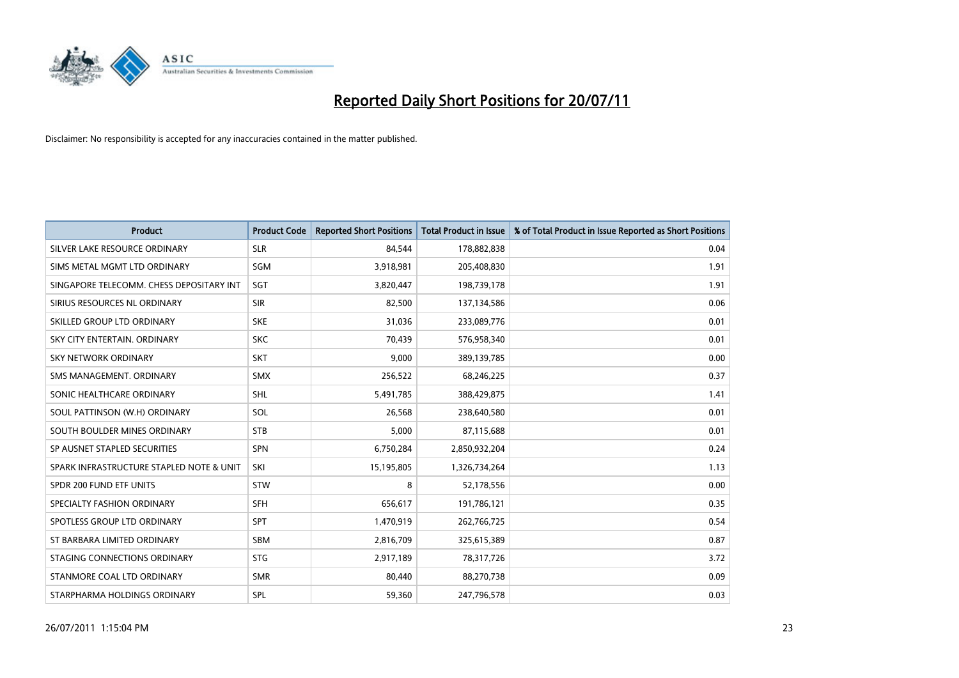

| <b>Product</b>                           | <b>Product Code</b> | <b>Reported Short Positions</b> | <b>Total Product in Issue</b> | % of Total Product in Issue Reported as Short Positions |
|------------------------------------------|---------------------|---------------------------------|-------------------------------|---------------------------------------------------------|
| SILVER LAKE RESOURCE ORDINARY            | <b>SLR</b>          | 84,544                          | 178,882,838                   | 0.04                                                    |
| SIMS METAL MGMT LTD ORDINARY             | SGM                 | 3,918,981                       | 205,408,830                   | 1.91                                                    |
| SINGAPORE TELECOMM. CHESS DEPOSITARY INT | SGT                 | 3,820,447                       | 198,739,178                   | 1.91                                                    |
| SIRIUS RESOURCES NL ORDINARY             | <b>SIR</b>          | 82,500                          | 137,134,586                   | 0.06                                                    |
| SKILLED GROUP LTD ORDINARY               | <b>SKE</b>          | 31,036                          | 233,089,776                   | 0.01                                                    |
| SKY CITY ENTERTAIN, ORDINARY             | <b>SKC</b>          | 70,439                          | 576,958,340                   | 0.01                                                    |
| <b>SKY NETWORK ORDINARY</b>              | <b>SKT</b>          | 9.000                           | 389,139,785                   | 0.00                                                    |
| SMS MANAGEMENT, ORDINARY                 | <b>SMX</b>          | 256,522                         | 68,246,225                    | 0.37                                                    |
| SONIC HEALTHCARE ORDINARY                | <b>SHL</b>          | 5,491,785                       | 388,429,875                   | 1.41                                                    |
| SOUL PATTINSON (W.H) ORDINARY            | SOL                 | 26.568                          | 238,640,580                   | 0.01                                                    |
| SOUTH BOULDER MINES ORDINARY             | <b>STB</b>          | 5,000                           | 87,115,688                    | 0.01                                                    |
| SP AUSNET STAPLED SECURITIES             | SPN                 | 6,750,284                       | 2,850,932,204                 | 0.24                                                    |
| SPARK INFRASTRUCTURE STAPLED NOTE & UNIT | SKI                 | 15,195,805                      | 1,326,734,264                 | 1.13                                                    |
| SPDR 200 FUND ETF UNITS                  | <b>STW</b>          | 8                               | 52,178,556                    | 0.00                                                    |
| SPECIALTY FASHION ORDINARY               | <b>SFH</b>          | 656,617                         | 191,786,121                   | 0.35                                                    |
| SPOTLESS GROUP LTD ORDINARY              | <b>SPT</b>          | 1,470,919                       | 262,766,725                   | 0.54                                                    |
| ST BARBARA LIMITED ORDINARY              | <b>SBM</b>          | 2,816,709                       | 325,615,389                   | 0.87                                                    |
| STAGING CONNECTIONS ORDINARY             | <b>STG</b>          | 2,917,189                       | 78,317,726                    | 3.72                                                    |
| STANMORE COAL LTD ORDINARY               | <b>SMR</b>          | 80,440                          | 88,270,738                    | 0.09                                                    |
| STARPHARMA HOLDINGS ORDINARY             | SPL                 | 59,360                          | 247,796,578                   | 0.03                                                    |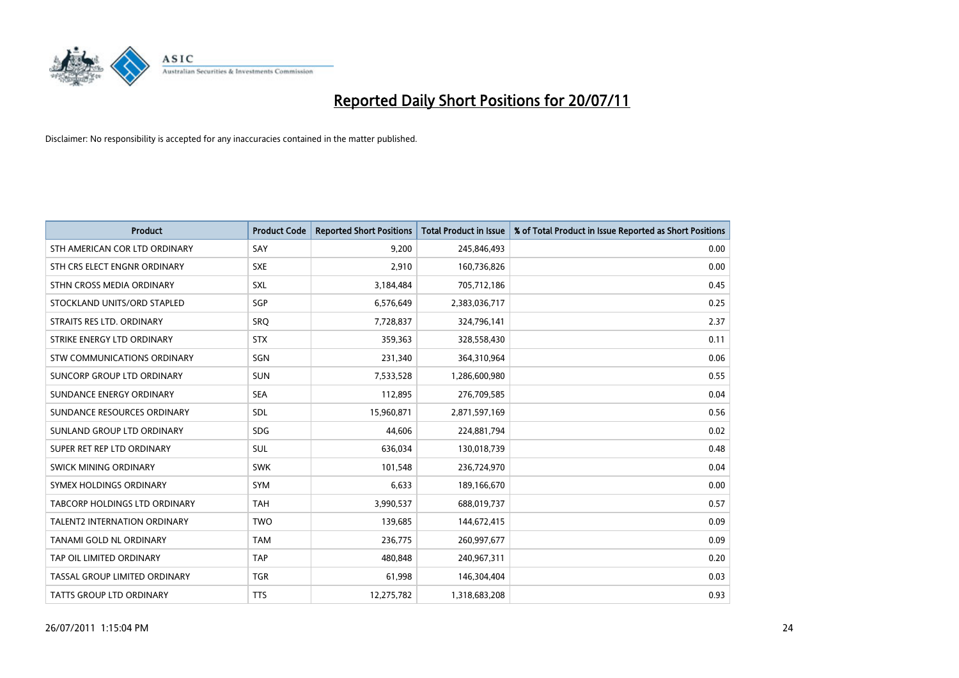

| <b>Product</b>                      | <b>Product Code</b> | <b>Reported Short Positions</b> | <b>Total Product in Issue</b> | % of Total Product in Issue Reported as Short Positions |
|-------------------------------------|---------------------|---------------------------------|-------------------------------|---------------------------------------------------------|
| STH AMERICAN COR LTD ORDINARY       | SAY                 | 9.200                           | 245,846,493                   | 0.00                                                    |
| STH CRS ELECT ENGNR ORDINARY        | <b>SXE</b>          | 2,910                           | 160,736,826                   | 0.00                                                    |
| STHN CROSS MEDIA ORDINARY           | <b>SXL</b>          | 3,184,484                       | 705,712,186                   | 0.45                                                    |
| STOCKLAND UNITS/ORD STAPLED         | SGP                 | 6,576,649                       | 2,383,036,717                 | 0.25                                                    |
| STRAITS RES LTD. ORDINARY           | SRO                 | 7,728,837                       | 324,796,141                   | 2.37                                                    |
| STRIKE ENERGY LTD ORDINARY          | <b>STX</b>          | 359,363                         | 328,558,430                   | 0.11                                                    |
| <b>STW COMMUNICATIONS ORDINARY</b>  | SGN                 | 231,340                         | 364,310,964                   | 0.06                                                    |
| SUNCORP GROUP LTD ORDINARY          | <b>SUN</b>          | 7,533,528                       | 1,286,600,980                 | 0.55                                                    |
| SUNDANCE ENERGY ORDINARY            | <b>SEA</b>          | 112,895                         | 276,709,585                   | 0.04                                                    |
| SUNDANCE RESOURCES ORDINARY         | <b>SDL</b>          | 15,960,871                      | 2,871,597,169                 | 0.56                                                    |
| SUNLAND GROUP LTD ORDINARY          | <b>SDG</b>          | 44,606                          | 224,881,794                   | 0.02                                                    |
| SUPER RET REP LTD ORDINARY          | <b>SUL</b>          | 636,034                         | 130,018,739                   | 0.48                                                    |
| <b>SWICK MINING ORDINARY</b>        | <b>SWK</b>          | 101,548                         | 236,724,970                   | 0.04                                                    |
| SYMEX HOLDINGS ORDINARY             | <b>SYM</b>          | 6,633                           | 189,166,670                   | 0.00                                                    |
| TABCORP HOLDINGS LTD ORDINARY       | <b>TAH</b>          | 3,990,537                       | 688,019,737                   | 0.57                                                    |
| <b>TALENT2 INTERNATION ORDINARY</b> | <b>TWO</b>          | 139,685                         | 144,672,415                   | 0.09                                                    |
| TANAMI GOLD NL ORDINARY             | <b>TAM</b>          | 236,775                         | 260,997,677                   | 0.09                                                    |
| TAP OIL LIMITED ORDINARY            | <b>TAP</b>          | 480,848                         | 240,967,311                   | 0.20                                                    |
| TASSAL GROUP LIMITED ORDINARY       | <b>TGR</b>          | 61,998                          | 146,304,404                   | 0.03                                                    |
| TATTS GROUP LTD ORDINARY            | <b>TTS</b>          | 12,275,782                      | 1,318,683,208                 | 0.93                                                    |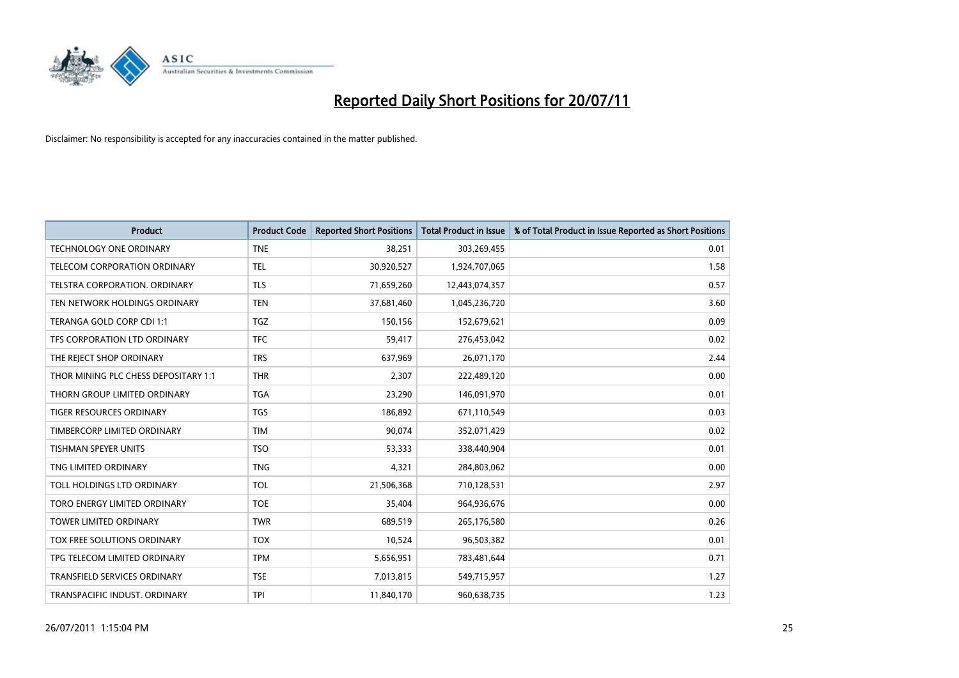

| <b>Product</b>                       | <b>Product Code</b> | <b>Reported Short Positions</b> | <b>Total Product in Issue</b> | % of Total Product in Issue Reported as Short Positions |
|--------------------------------------|---------------------|---------------------------------|-------------------------------|---------------------------------------------------------|
| <b>TECHNOLOGY ONE ORDINARY</b>       | <b>TNE</b>          | 38,251                          | 303,269,455                   | 0.01                                                    |
| TELECOM CORPORATION ORDINARY         | <b>TEL</b>          | 30,920,527                      | 1,924,707,065                 | 1.58                                                    |
| <b>TELSTRA CORPORATION, ORDINARY</b> | <b>TLS</b>          | 71,659,260                      | 12,443,074,357                | 0.57                                                    |
| TEN NETWORK HOLDINGS ORDINARY        | <b>TEN</b>          | 37,681,460                      | 1,045,236,720                 | 3.60                                                    |
| TERANGA GOLD CORP CDI 1:1            | <b>TGZ</b>          | 150,156                         | 152,679,621                   | 0.09                                                    |
| TFS CORPORATION LTD ORDINARY         | <b>TFC</b>          | 59,417                          | 276,453,042                   | 0.02                                                    |
| THE REJECT SHOP ORDINARY             | <b>TRS</b>          | 637,969                         | 26,071,170                    | 2.44                                                    |
| THOR MINING PLC CHESS DEPOSITARY 1:1 | <b>THR</b>          | 2,307                           | 222,489,120                   | 0.00                                                    |
| THORN GROUP LIMITED ORDINARY         | <b>TGA</b>          | 23,290                          | 146,091,970                   | 0.01                                                    |
| <b>TIGER RESOURCES ORDINARY</b>      | <b>TGS</b>          | 186,892                         | 671,110,549                   | 0.03                                                    |
| TIMBERCORP LIMITED ORDINARY          | <b>TIM</b>          | 90,074                          | 352,071,429                   | 0.02                                                    |
| <b>TISHMAN SPEYER UNITS</b>          | <b>TSO</b>          | 53,333                          | 338,440,904                   | 0.01                                                    |
| TNG LIMITED ORDINARY                 | <b>TNG</b>          | 4,321                           | 284,803,062                   | 0.00                                                    |
| TOLL HOLDINGS LTD ORDINARY           | <b>TOL</b>          | 21,506,368                      | 710,128,531                   | 2.97                                                    |
| TORO ENERGY LIMITED ORDINARY         | <b>TOE</b>          | 35,404                          | 964,936,676                   | 0.00                                                    |
| TOWER LIMITED ORDINARY               | <b>TWR</b>          | 689,519                         | 265,176,580                   | 0.26                                                    |
| TOX FREE SOLUTIONS ORDINARY          | <b>TOX</b>          | 10,524                          | 96,503,382                    | 0.01                                                    |
| TPG TELECOM LIMITED ORDINARY         | <b>TPM</b>          | 5,656,951                       | 783,481,644                   | 0.71                                                    |
| <b>TRANSFIELD SERVICES ORDINARY</b>  | <b>TSE</b>          | 7,013,815                       | 549,715,957                   | 1.27                                                    |
| TRANSPACIFIC INDUST. ORDINARY        | <b>TPI</b>          | 11,840,170                      | 960,638,735                   | 1.23                                                    |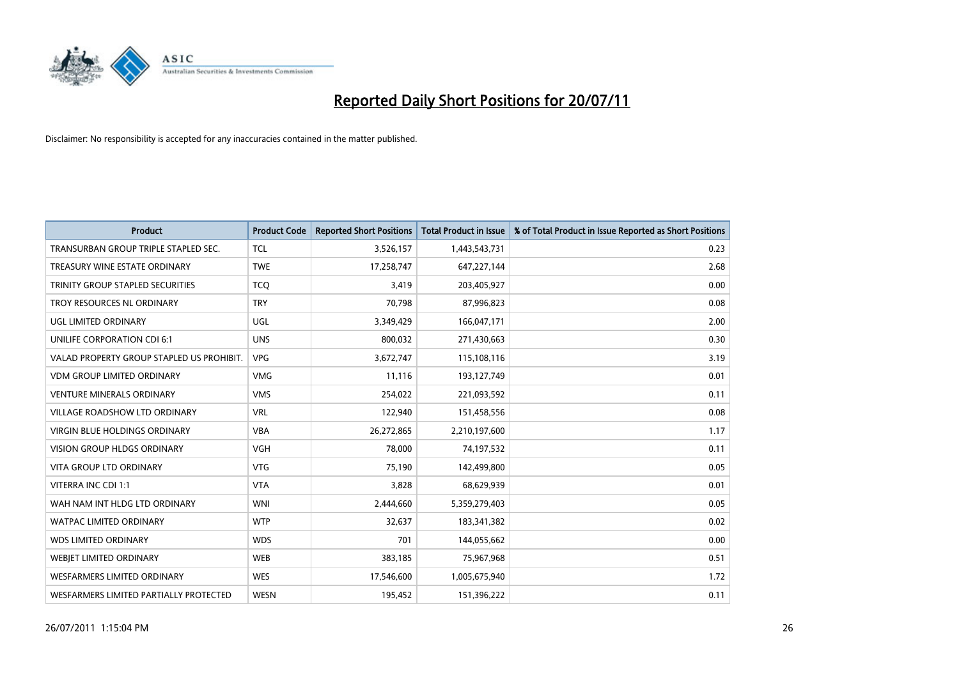

| <b>Product</b>                            | <b>Product Code</b> | <b>Reported Short Positions</b> | Total Product in Issue | % of Total Product in Issue Reported as Short Positions |
|-------------------------------------------|---------------------|---------------------------------|------------------------|---------------------------------------------------------|
| TRANSURBAN GROUP TRIPLE STAPLED SEC.      | <b>TCL</b>          | 3,526,157                       | 1,443,543,731          | 0.23                                                    |
| TREASURY WINE ESTATE ORDINARY             | <b>TWE</b>          | 17,258,747                      | 647,227,144            | 2.68                                                    |
| TRINITY GROUP STAPLED SECURITIES          | <b>TCQ</b>          | 3,419                           | 203,405,927            | 0.00                                                    |
| TROY RESOURCES NL ORDINARY                | <b>TRY</b>          | 70,798                          | 87,996,823             | 0.08                                                    |
| <b>UGL LIMITED ORDINARY</b>               | UGL                 | 3,349,429                       | 166,047,171            | 2.00                                                    |
| UNILIFE CORPORATION CDI 6:1               | <b>UNS</b>          | 800,032                         | 271,430,663            | 0.30                                                    |
| VALAD PROPERTY GROUP STAPLED US PROHIBIT. | <b>VPG</b>          | 3,672,747                       | 115,108,116            | 3.19                                                    |
| <b>VDM GROUP LIMITED ORDINARY</b>         | <b>VMG</b>          | 11,116                          | 193,127,749            | 0.01                                                    |
| <b>VENTURE MINERALS ORDINARY</b>          | <b>VMS</b>          | 254,022                         | 221,093,592            | 0.11                                                    |
| <b>VILLAGE ROADSHOW LTD ORDINARY</b>      | <b>VRL</b>          | 122,940                         | 151,458,556            | 0.08                                                    |
| <b>VIRGIN BLUE HOLDINGS ORDINARY</b>      | <b>VBA</b>          | 26,272,865                      | 2,210,197,600          | 1.17                                                    |
| <b>VISION GROUP HLDGS ORDINARY</b>        | <b>VGH</b>          | 78,000                          | 74,197,532             | 0.11                                                    |
| <b>VITA GROUP LTD ORDINARY</b>            | <b>VTG</b>          | 75.190                          | 142,499,800            | 0.05                                                    |
| VITERRA INC CDI 1:1                       | <b>VTA</b>          | 3,828                           | 68,629,939             | 0.01                                                    |
| WAH NAM INT HLDG LTD ORDINARY             | <b>WNI</b>          | 2,444,660                       | 5,359,279,403          | 0.05                                                    |
| <b>WATPAC LIMITED ORDINARY</b>            | <b>WTP</b>          | 32,637                          | 183,341,382            | 0.02                                                    |
| <b>WDS LIMITED ORDINARY</b>               | <b>WDS</b>          | 701                             | 144,055,662            | 0.00                                                    |
| <b>WEBIET LIMITED ORDINARY</b>            | <b>WEB</b>          | 383,185                         | 75,967,968             | 0.51                                                    |
| <b>WESFARMERS LIMITED ORDINARY</b>        | <b>WES</b>          | 17,546,600                      | 1,005,675,940          | 1.72                                                    |
| WESFARMERS LIMITED PARTIALLY PROTECTED    | <b>WESN</b>         | 195.452                         | 151,396,222            | 0.11                                                    |